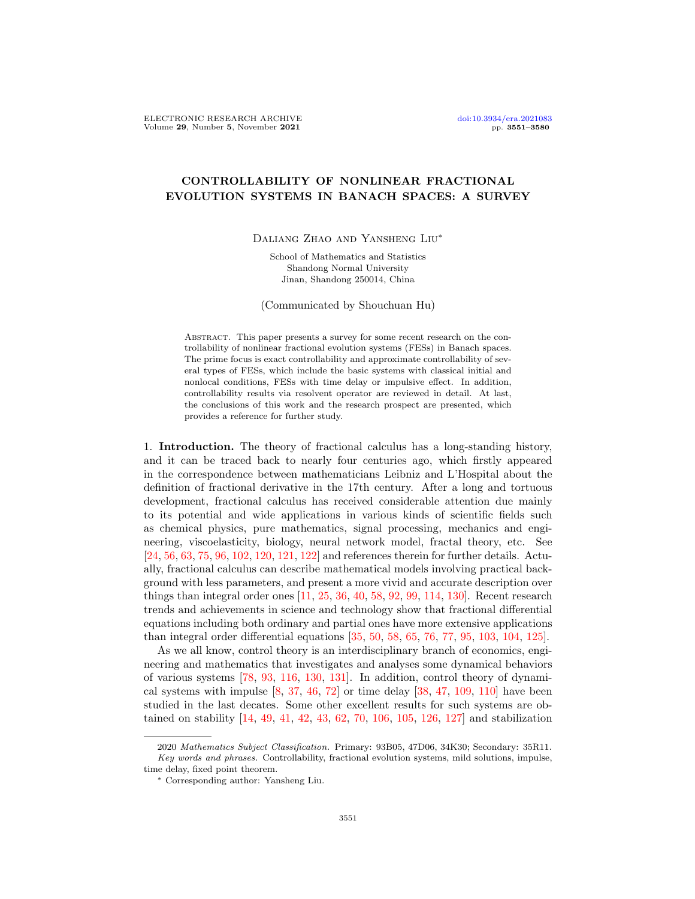## CONTROLLABILITY OF NONLINEAR FRACTIONAL EVOLUTION SYSTEMS IN BANACH SPACES: A SURVEY

Daliang Zhao and Yansheng Liu∗

School of Mathematics and Statistics Shandong Normal University Jinan, Shandong 250014, China

(Communicated by Shouchuan Hu)

Abstract. This paper presents a survey for some recent research on the controllability of nonlinear fractional evolution systems (FESs) in Banach spaces. The prime focus is exact controllability and approximate controllability of several types of FESs, which include the basic systems with classical initial and nonlocal conditions, FESs with time delay or impulsive effect. In addition, controllability results via resolvent operator are reviewed in detail. At last, the conclusions of this work and the research prospect are presented, which provides a reference for further study.

1. Introduction. The theory of fractional calculus has a long-standing history, and it can be traced back to nearly four centuries ago, which firstly appeared in the correspondence between mathematicians Leibniz and L'Hospital about the definition of fractional derivative in the 17th century. After a long and tortuous development, fractional calculus has received considerable attention due mainly to its potential and wide applications in various kinds of scientific fields such as chemical physics, pure mathematics, signal processing, mechanics and engineering, viscoelasticity, biology, neural network model, fractal theory, etc. See [\[24,](#page-24-0) [56,](#page-26-0) [63,](#page-26-1) [75,](#page-26-2) [96,](#page-27-0) [102,](#page-27-1) [120,](#page-28-0) [121,](#page-28-1) [122\]](#page-28-2) and references therein for further details. Actually, fractional calculus can describe mathematical models involving practical background with less parameters, and present a more vivid and accurate description over things than integral order ones [\[11,](#page-24-1) [25,](#page-24-2) [36,](#page-25-0) [40,](#page-25-1) [58,](#page-25-2) [92,](#page-27-2) [99,](#page-27-3) [114,](#page-28-3) [130\]](#page-28-4). Recent research trends and achievements in science and technology show that fractional differential equations including both ordinary and partial ones have more extensive applications than integral order differential equations [\[35,](#page-25-3) [50,](#page-25-4) [58,](#page-25-2) [65,](#page-26-3) [76,](#page-26-4) [77,](#page-26-5) [95,](#page-27-4) [103,](#page-27-5) [104,](#page-27-6) [125\]](#page-28-5).

As we all know, control theory is an interdisciplinary branch of economics, engineering and mathematics that investigates and analyses some dynamical behaviors of various systems [\[78,](#page-26-6) [93,](#page-27-7) [116,](#page-28-6) [130,](#page-28-4) [131\]](#page-28-7). In addition, control theory of dynamical systems with impulse  $[8, 37, 46, 72]$  $[8, 37, 46, 72]$  $[8, 37, 46, 72]$  $[8, 37, 46, 72]$  $[8, 37, 46, 72]$  $[8, 37, 46, 72]$  or time delay  $[38, 47, 109, 110]$  $[38, 47, 109, 110]$  $[38, 47, 109, 110]$  $[38, 47, 109, 110]$  $[38, 47, 109, 110]$  $[38, 47, 109, 110]$  have been studied in the last decates. Some other excellent results for such systems are obtained on stability [\[14,](#page-24-4) [49,](#page-25-9) [41,](#page-25-10) [42,](#page-25-11) [43,](#page-25-12) [62,](#page-26-8) [70,](#page-26-9) [106,](#page-28-10) [105,](#page-28-11) [126,](#page-28-12) [127\]](#page-28-13) and stabilization

<sup>2020</sup> Mathematics Subject Classification. Primary: 93B05, 47D06, 34K30; Secondary: 35R11. Key words and phrases. Controllability, fractional evolution systems, mild solutions, impulse, time delay, fixed point theorem.

<sup>∗</sup> Corresponding author: Yansheng Liu.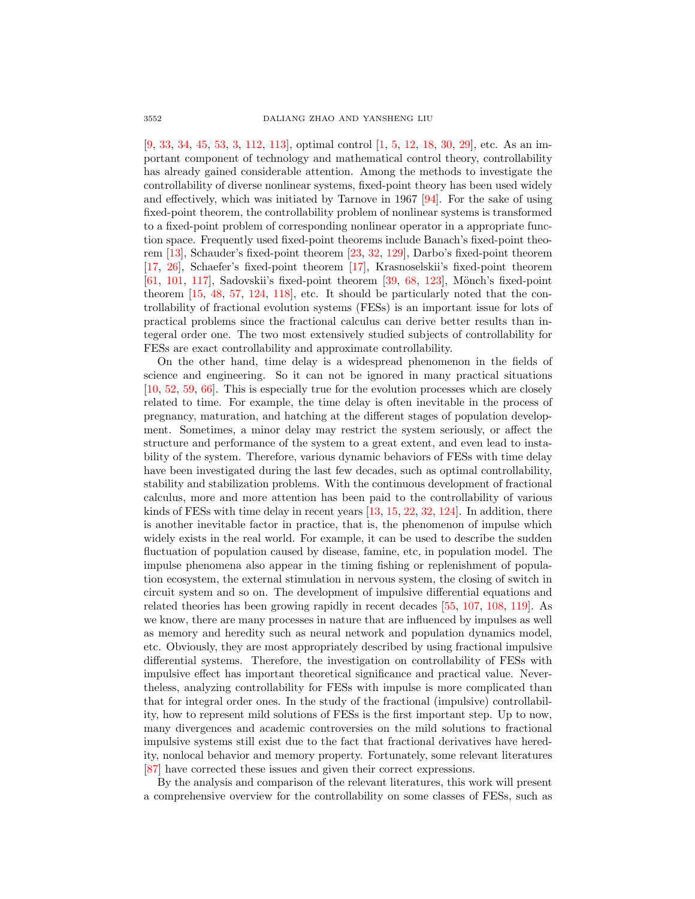[\[9,](#page-24-5) [33,](#page-25-13) [34,](#page-25-14) [45,](#page-25-15) [53,](#page-25-16) [3,](#page-23-0) [112,](#page-28-14) [113\]](#page-28-15), optimal control [\[1,](#page-23-1) [5,](#page-24-6) [12,](#page-24-7) [18,](#page-24-8) [30,](#page-25-17) [29\]](#page-25-18), etc. As an important component of technology and mathematical control theory, controllability has already gained considerable attention. Among the methods to investigate the controllability of diverse nonlinear systems, fixed-point theory has been used widely and effectively, which was initiated by Tarnove in 1967 [\[94\]](#page-27-8). For the sake of using fixed-point theorem, the controllability problem of nonlinear systems is transformed to a fixed-point problem of corresponding nonlinear operator in a appropriate function space. Frequently used fixed-point theorems include Banach's fixed-point theorem [\[13\]](#page-24-9), Schauder's fixed-point theorem [\[23,](#page-24-10) [32,](#page-25-19) [129\]](#page-28-16), Darbo's fixed-point theorem [\[17,](#page-24-11) [26\]](#page-24-12), Schaefer's fixed-point theorem [\[17\]](#page-24-11), Krasnoselskii's fixed-point theorem  $[61, 101, 117]$  $[61, 101, 117]$  $[61, 101, 117]$  $[61, 101, 117]$  $[61, 101, 117]$ , Sadovskii's fixed-point theorem  $[39, 68, 123]$  $[39, 68, 123]$  $[39, 68, 123]$  $[39, 68, 123]$ , Mönch's fixed-point theorem [\[15,](#page-24-13) [48,](#page-25-21) [57,](#page-26-12) [124,](#page-28-19) [118\]](#page-28-20), etc. It should be particularly noted that the controllability of fractional evolution systems (FESs) is an important issue for lots of practical problems since the fractional calculus can derive better results than integeral order one. The two most extensively studied subjects of controllability for FESs are exact controllability and approximate controllability.

On the other hand, time delay is a widespread phenomenon in the fields of science and engineering. So it can not be ignored in many practical situations [\[10,](#page-24-14) [52,](#page-25-22) [59,](#page-26-13) [66\]](#page-26-14). This is especially true for the evolution processes which are closely related to time. For example, the time delay is often inevitable in the process of pregnancy, maturation, and hatching at the different stages of population development. Sometimes, a minor delay may restrict the system seriously, or affect the structure and performance of the system to a great extent, and even lead to instability of the system. Therefore, various dynamic behaviors of FESs with time delay have been investigated during the last few decades, such as optimal controllability, stability and stabilization problems. With the continuous development of fractional calculus, more and more attention has been paid to the controllability of various kinds of FESs with time delay in recent years [\[13,](#page-24-9) [15,](#page-24-13) [22,](#page-24-15) [32,](#page-25-19) [124\]](#page-28-19). In addition, there is another inevitable factor in practice, that is, the phenomenon of impulse which widely exists in the real world. For example, it can be used to describe the sudden fluctuation of population caused by disease, famine, etc, in population model. The impulse phenomena also appear in the timing fishing or replenishment of population ecosystem, the external stimulation in nervous system, the closing of switch in circuit system and so on. The development of impulsive differential equations and related theories has been growing rapidly in recent decades [\[55,](#page-26-15) [107,](#page-28-21) [108,](#page-28-22) [119\]](#page-28-23). As we know, there are many processes in nature that are influenced by impulses as well as memory and heredity such as neural network and population dynamics model, etc. Obviously, they are most appropriately described by using fractional impulsive differential systems. Therefore, the investigation on controllability of FESs with impulsive effect has important theoretical significance and practical value. Nevertheless, analyzing controllability for FESs with impulse is more complicated than that for integral order ones. In the study of the fractional (impulsive) controllability, how to represent mild solutions of FESs is the first important step. Up to now, many divergences and academic controversies on the mild solutions to fractional impulsive systems still exist due to the fact that fractional derivatives have heredity, nonlocal behavior and memory property. Fortunately, some relevant literatures [\[87\]](#page-27-10) have corrected these issues and given their correct expressions.

By the analysis and comparison of the relevant literatures, this work will present a comprehensive overview for the controllability on some classes of FESs, such as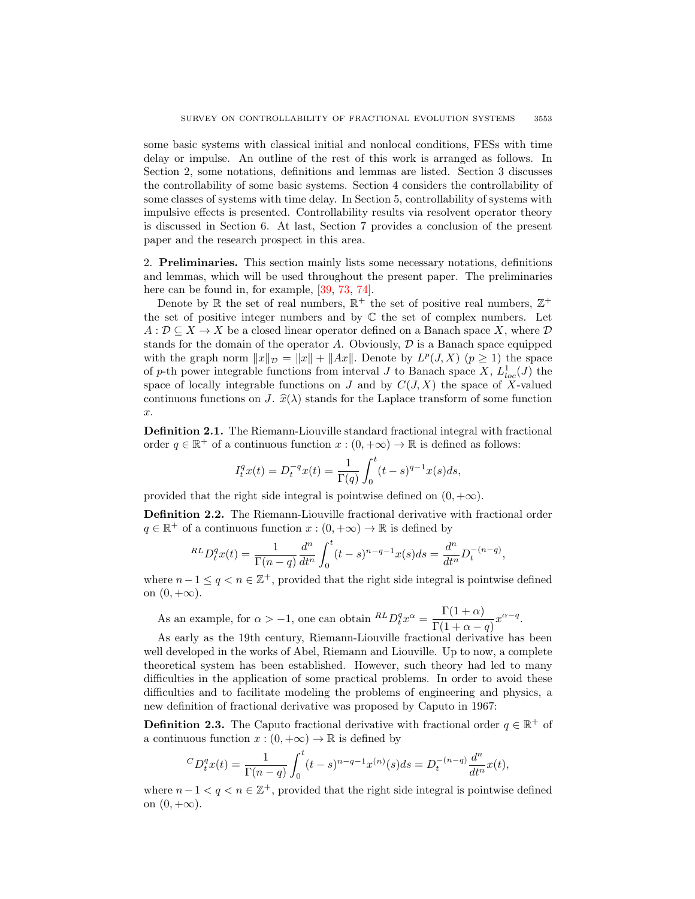some basic systems with classical initial and nonlocal conditions, FESs with time delay or impulse. An outline of the rest of this work is arranged as follows. In Section 2, some notations, definitions and lemmas are listed. Section 3 discusses the controllability of some basic systems. Section 4 considers the controllability of some classes of systems with time delay. In Section 5, controllability of systems with impulsive effects is presented. Controllability results via resolvent operator theory is discussed in Section 6. At last, Section 7 provides a conclusion of the present paper and the research prospect in this area.

2. Preliminaries. This section mainly lists some necessary notations, definitions and lemmas, which will be used throughout the present paper. The preliminaries here can be found in, for example, [\[39,](#page-25-20) [73,](#page-26-16) [74\]](#page-26-17).

Denote by  $\mathbb R$  the set of real numbers,  $\mathbb R^+$  the set of positive real numbers,  $\mathbb Z^+$ the set of positive integer numbers and by  $\mathbb C$  the set of complex numbers. Let  $A: \mathcal{D} \subseteq X \to X$  be a closed linear operator defined on a Banach space X, where  $\mathcal{D}$ stands for the domain of the operator A. Obviously,  $\mathcal D$  is a Banach space equipped with the graph norm  $||x||_{\mathcal{D}} = ||x|| + ||Ax||$ . Denote by  $L^p(J, X)$   $(p \ge 1)$  the space of p-th power integrable functions from interval J to Banach space  $X, L^1_{loc}(J)$  the space of locally integrable functions on J and by  $C(J, X)$  the space of X-valued continuous functions on J.  $\hat{x}(\lambda)$  stands for the Laplace transform of some function x.

Definition 2.1. The Riemann-Liouville standard fractional integral with fractional order  $q \in \mathbb{R}^+$  of a continuous function  $x : (0, +\infty) \to \mathbb{R}$  is defined as follows:

$$
I_t^q x(t) = D_t^{-q} x(t) = \frac{1}{\Gamma(q)} \int_0^t (t-s)^{q-1} x(s) ds,
$$

provided that the right side integral is pointwise defined on  $(0, +\infty)$ .

Definition 2.2. The Riemann-Liouville fractional derivative with fractional order  $q \in \mathbb{R}^+$  of a continuous function  $x : (0, +\infty) \to \mathbb{R}$  is defined by

$$
^{RL}D_{t}^{q}x(t) = \frac{1}{\Gamma(n-q)}\frac{d^{n}}{dt^{n}}\int_{0}^{t}(t-s)^{n-q-1}x(s)ds = \frac{d^{n}}{dt^{n}}D_{t}^{-(n-q)},
$$

where  $n-1 \leq q < n \in \mathbb{Z}^+$ , provided that the right side integral is pointwise defined on  $(0, +\infty)$ .

As an example, for  $\alpha > -1$ , one can obtain  ${}^{RL}D_t^q x^{\alpha} = \frac{\Gamma(1+\alpha)}{\Gamma(1+\alpha)}$  $\frac{1(1+\alpha)}{\Gamma(1+\alpha-q)}x^{\alpha-q}.$ 

As early as the 19th century, Riemann-Liouville fractional derivative has been well developed in the works of Abel, Riemann and Liouville. Up to now, a complete theoretical system has been established. However, such theory had led to many difficulties in the application of some practical problems. In order to avoid these difficulties and to facilitate modeling the problems of engineering and physics, a new definition of fractional derivative was proposed by Caputo in 1967:

**Definition 2.3.** The Caputo fractional derivative with fractional order  $q \in \mathbb{R}^+$  of a continuous function  $x:(0,+\infty) \to \mathbb{R}$  is defined by

$$
{}^{C}D_{t}^{q}x(t) = \frac{1}{\Gamma(n-q)} \int_{0}^{t} (t-s)^{n-q-1} x^{(n)}(s) ds = D_{t}^{-(n-q)} \frac{d^{n}}{dt^{n}} x(t),
$$

where  $n-1 < q < n \in \mathbb{Z}^+$ , provided that the right side integral is pointwise defined on  $(0, +\infty)$ .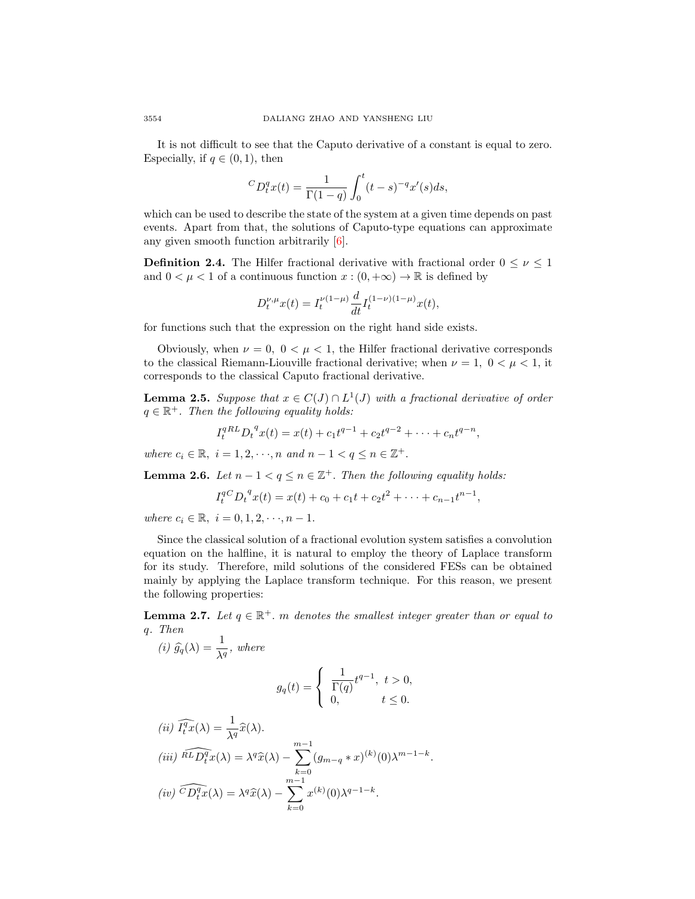It is not difficult to see that the Caputo derivative of a constant is equal to zero. Especially, if  $q \in (0, 1)$ , then

$$
{}^{C}D_{t}^{q}x(t) = \frac{1}{\Gamma(1-q)} \int_{0}^{t} (t-s)^{-q} x'(s) ds,
$$

which can be used to describe the state of the system at a given time depends on past events. Apart from that, the solutions of Caputo-type equations can approximate any given smooth function arbitrarily [\[6\]](#page-24-16).

**Definition 2.4.** The Hilfer fractional derivative with fractional order  $0 \leq \nu \leq 1$ and  $0 < \mu < 1$  of a continuous function  $x : (0, +\infty) \to \mathbb{R}$  is defined by

$$
D_t^{\nu,\mu}x(t) = I_t^{\nu(1-\mu)}\frac{d}{dt}I_t^{(1-\nu)(1-\mu)}x(t),
$$

for functions such that the expression on the right hand side exists.

Obviously, when  $\nu = 0$ ,  $0 < \mu < 1$ , the Hilfer fractional derivative corresponds to the classical Riemann-Liouville fractional derivative; when  $\nu = 1$ ,  $0 < \mu < 1$ , it corresponds to the classical Caputo fractional derivative.

**Lemma 2.5.** Suppose that  $x \in C(J) \cap L^1(J)$  with a fractional derivative of order  $q \in \mathbb{R}^+$ . Then the following equality holds:

$$
I_t^{qRL} D_t^{q} x(t) = x(t) + c_1 t^{q-1} + c_2 t^{q-2} + \dots + c_n t^{q-n},
$$

where  $c_i \in \mathbb{R}, i = 1, 2, \dots, n$  and  $n - 1 < q \le n \in \mathbb{Z}^+$ .

**Lemma 2.6.** Let  $n-1 < q \leq n \in \mathbb{Z}^+$ . Then the following equality holds:

$$
I_t^{q}C D_t^{q} x(t) = x(t) + c_0 + c_1 t + c_2 t^2 + \dots + c_{n-1} t^{n-1},
$$

where  $c_i \in \mathbb{R}, i = 0, 1, 2, \dots, n - 1.$ 

Since the classical solution of a fractional evolution system satisfies a convolution equation on the halfline, it is natural to employ the theory of Laplace transform for its study. Therefore, mild solutions of the considered FESs can be obtained mainly by applying the Laplace transform technique. For this reason, we present the following properties:

**Lemma 2.7.** Let  $q \in \mathbb{R}^+$ . m denotes the smallest integer greater than or equal to q. Then

(i) 
$$
\hat{g}_q(\lambda) = \frac{1}{\lambda^q}
$$
, where

$$
g_q(t) = \begin{cases} \frac{1}{\Gamma(q)} t^{q-1}, & t > 0, \\ 0, & t \le 0. \end{cases}
$$

(ii) 
$$
\widehat{H_t^t}x(\lambda) = \frac{1}{\lambda^q}\widehat{x}(\lambda).
$$
  
\n(iii)  $\widehat{hL}\widehat{D_t^qx}(\lambda) = \lambda^q\widehat{x}(\lambda) - \sum_{k=0}^{m-1} (g_{m-q} * x)^{(k)}(0)\lambda^{m-1-k}.$   
\n(iv)  $\widehat{CD_t^qx}(\lambda) = \lambda^q\widehat{x}(\lambda) - \sum_{k=0}^{m-1} x^{(k)}(0)\lambda^{q-1-k}.$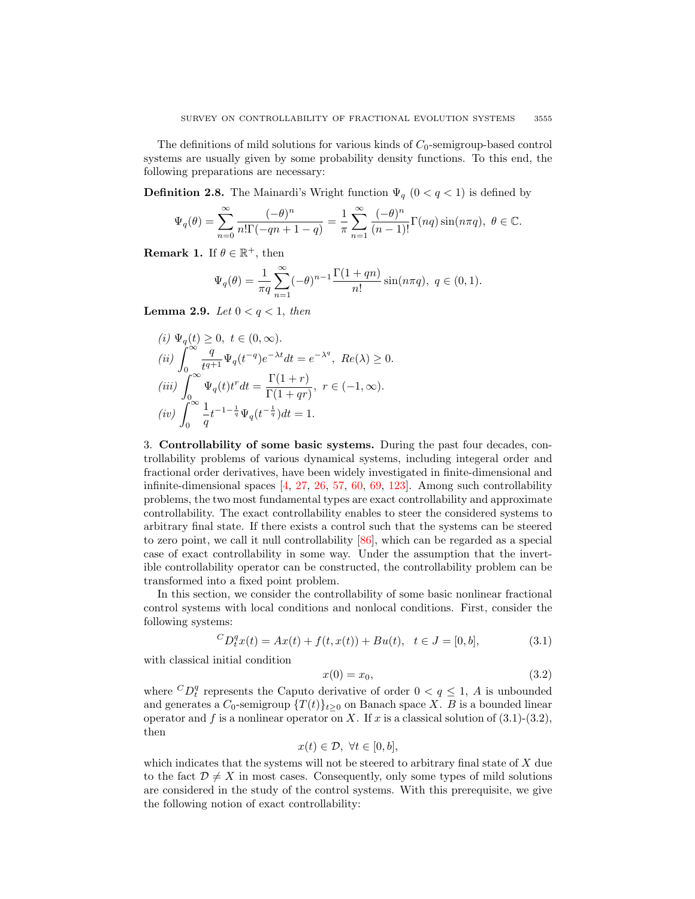The definitions of mild solutions for various kinds of  $C_0$ -semigroup-based control systems are usually given by some probability density functions. To this end, the following preparations are necessary:

**Definition 2.8.** The Mainardi's Wright function  $\Psi_q$  ( $0 < q < 1$ ) is defined by

$$
\Psi_q(\theta) = \sum_{n=0}^{\infty} \frac{(-\theta)^n}{n! \Gamma(-qn+1-q)} = \frac{1}{\pi} \sum_{n=1}^{\infty} \frac{(-\theta)^n}{(n-1)!} \Gamma(nq) \sin(n\pi q), \ \theta \in \mathbb{C}.
$$

**Remark 1.** If  $\theta \in \mathbb{R}^+$ , then

$$
\Psi_q(\theta) = \frac{1}{\pi q} \sum_{n=1}^{\infty} (-\theta)^{n-1} \frac{\Gamma(1+qn)}{n!} \sin(n\pi q), \ q \in (0,1).
$$

**Lemma 2.9.** Let  $0 < q < 1$ , then

$$
\begin{array}{ll} (i)\ \Psi_q(t)\geq 0,\ t\in (0,\infty).\\ (ii)\ \displaystyle\int_0^\infty \frac{q}{t^{q+1}}\Psi_q(t^{-q})e^{-\lambda t}dt=e^{-\lambda^q},\ Re(\lambda)\geq 0.\\ (iii)\ \displaystyle\int_0^\infty \Psi_q(t)t^rdt=\frac{\Gamma(1+r)}{\Gamma(1+qr)},\ r\in (-1,\infty).\\ (iv)\ \displaystyle\int_0^\infty \frac{1}{q}t^{-1-\frac{1}{q}}\Psi_q(t^{-\frac{1}{q}})dt=1. \end{array}
$$

3. Controllability of some basic systems. During the past four decades, controllability problems of various dynamical systems, including integeral order and fractional order derivatives, have been widely investigated in finite-dimensional and infinite-dimensional spaces [\[4,](#page-24-17) [27,](#page-24-18) [26,](#page-24-12) [57,](#page-26-12) [60,](#page-26-18) [69,](#page-26-19) [123\]](#page-28-18). Among such controllability problems, the two most fundamental types are exact controllability and approximate controllability. The exact controllability enables to steer the considered systems to arbitrary final state. If there exists a control such that the systems can be steered to zero point, we call it null controllability [\[86\]](#page-27-11), which can be regarded as a special case of exact controllability in some way. Under the assumption that the invertible controllability operator can be constructed, the controllability problem can be transformed into a fixed point problem.

In this section, we consider the controllability of some basic nonlinear fractional control systems with local conditions and nonlocal conditions. First, consider the following systems:

$$
{}^{C}D_{t}^{q}x(t) = Ax(t) + f(t, x(t)) + Bu(t), \quad t \in J = [0, b], \tag{3.1}
$$

with classical initial condition

$$
x(0) = x_0,\tag{3.2}
$$

where  ${}^{C}D_t^q$  represents the Caputo derivative of order  $0 < q \leq 1$ , A is unbounded and generates a  $C_0$ -semigroup  $\{T(t)\}_{t\geq 0}$  on Banach space X. B is a bounded linear operator and f is a nonlinear operator on X. If x is a classical solution of  $(3.1)-(3.2)$ , then

$$
x(t) \in \mathcal{D}, \ \forall t \in [0, b],
$$

which indicates that the systems will not be steered to arbitrary final state of  $X$  due to the fact  $\mathcal{D} \neq X$  in most cases. Consequently, only some types of mild solutions are considered in the study of the control systems. With this prerequisite, we give the following notion of exact controllability: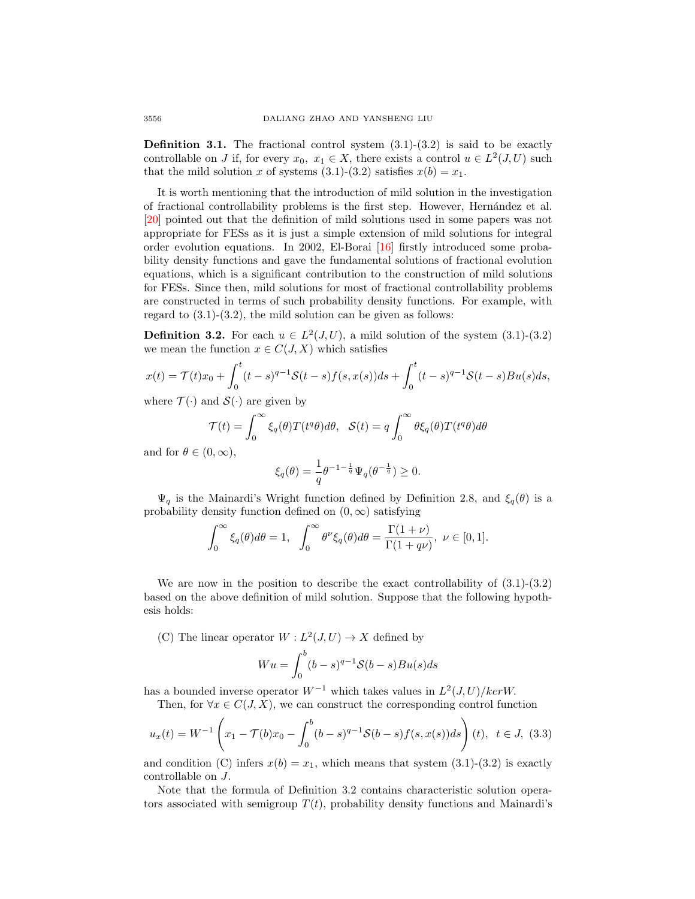**Definition 3.1.** The fractional control system  $(3.1)-(3.2)$  is said to be exactly controllable on J if, for every  $x_0, x_1 \in X$ , there exists a control  $u \in L^2(J, U)$  such that the mild solution x of systems  $(3.1)-(3.2)$  satisfies  $x(b) = x_1$ .

It is worth mentioning that the introduction of mild solution in the investigation of fractional controllability problems is the first step. However, Hern´andez et al. [\[20\]](#page-24-19) pointed out that the definition of mild solutions used in some papers was not appropriate for FESs as it is just a simple extension of mild solutions for integral order evolution equations. In 2002, El-Borai [\[16\]](#page-24-20) firstly introduced some probability density functions and gave the fundamental solutions of fractional evolution equations, which is a significant contribution to the construction of mild solutions for FESs. Since then, mild solutions for most of fractional controllability problems are constructed in terms of such probability density functions. For example, with regard to  $(3.1)-(3.2)$ , the mild solution can be given as follows:

**Definition 3.2.** For each  $u \in L^2(J, U)$ , a mild solution of the system (3.1)-(3.2) we mean the function  $x \in C(J, X)$  which satisfies

$$
x(t) = \mathcal{T}(t)x_0 + \int_0^t (t-s)^{q-1} \mathcal{S}(t-s) f(s, x(s)) ds + \int_0^t (t-s)^{q-1} \mathcal{S}(t-s) Bu(s) ds,
$$

where  $\mathcal{T}(\cdot)$  and  $\mathcal{S}(\cdot)$  are given by

$$
\mathcal{T}(t) = \int_0^\infty \xi_q(\theta) T(t^q \theta) d\theta, \quad \mathcal{S}(t) = q \int_0^\infty \theta \xi_q(\theta) T(t^q \theta) d\theta
$$

and for  $\theta \in (0, \infty)$ ,

$$
\xi_q(\theta) = \frac{1}{q} \theta^{-1-\frac{1}{q}} \Psi_q(\theta^{-\frac{1}{q}}) \ge 0.
$$

 $\Psi_q$  is the Mainardi's Wright function defined by Definition 2.8, and  $\xi_q(\theta)$  is a probability density function defined on  $(0, \infty)$  satisfying

$$
\int_0^\infty \xi_q(\theta)d\theta = 1, \quad \int_0^\infty \theta^\nu \xi_q(\theta)d\theta = \frac{\Gamma(1+\nu)}{\Gamma(1+q\nu)}, \quad \nu \in [0,1].
$$

We are now in the position to describe the exact controllability of  $(3.1)-(3.2)$ based on the above definition of mild solution. Suppose that the following hypothesis holds:

(C) The linear operator  $W: L^2(J, U) \to X$  defined by

$$
Wu = \int_0^b (b-s)^{q-1} \mathcal{S}(b-s)Bu(s)ds
$$

has a bounded inverse operator  $W^{-1}$  which takes values in  $L^2(J, U)/ker W$ .

Then, for  $\forall x \in C(J, X)$ , we can construct the corresponding control function

$$
u_x(t) = W^{-1}\left(x_1 - \mathcal{T}(b)x_0 - \int_0^b (b-s)^{q-1} \mathcal{S}(b-s) f(s, x(s)) ds\right)(t), \ t \in J, (3.3)
$$

and condition (C) infers  $x(b) = x_1$ , which means that system (3.1)-(3.2) is exactly controllable on J.

Note that the formula of Definition 3.2 contains characteristic solution operators associated with semigroup  $T(t)$ , probability density functions and Mainardi's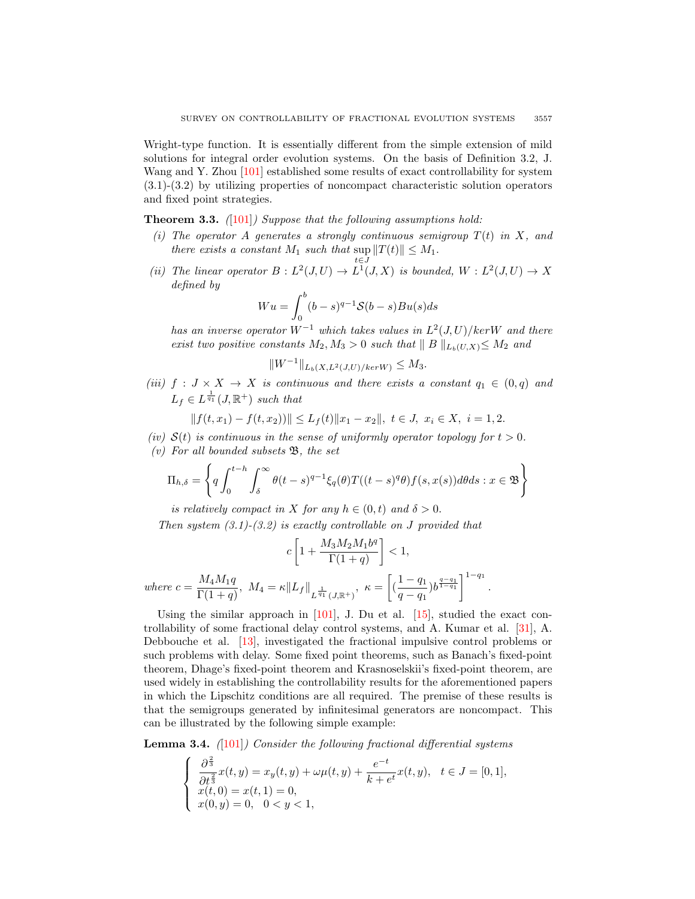Wright-type function. It is essentially different from the simple extension of mild solutions for integral order evolution systems. On the basis of Definition 3.2, J. Wang and Y. Zhou [\[101\]](#page-27-9) established some results of exact controllability for system (3.1)-(3.2) by utilizing properties of noncompact characteristic solution operators and fixed point strategies.

**Theorem 3.3.** ([\[101\]](#page-27-9)) Suppose that the following assumptions hold:

- (i) The operator A generates a strongly continuous semigroup  $T(t)$  in X, and there exists a constant  $M_1$  such that  $\sup ||T(t)|| \leq M_1$ . t∈J
- (ii) The linear operator  $B: L^2(J, U) \to L^1(J, X)$  is bounded,  $W: L^2(J, U) \to X$ defined by

$$
Wu = \int_0^b (b-s)^{q-1} \mathcal{S}(b-s)Bu(s)ds
$$

has an inverse operator  $W^{-1}$  which takes values in  $L^2(J, U)/kerW$  and there exist two positive constants  $M_2, M_3 > 0$  such that  $||B||_{L_b(U,X)} \leq M_2$  and

$$
||W^{-1}||_{L_b(X,L^2(J,U)/ker W)} \leq M_3.
$$

(iii)  $f : J \times X \to X$  is continuous and there exists a constant  $q_1 \in (0,q)$  and  $L_f \in L^{\frac{1}{q_1}}(J,\mathbb{R}^+)$  such that

$$
|| f(t, x_1) - f(t, x_2)) || \le L_f(t) ||x_1 - x_2||, \ t \in J, \ x_i \in X, \ i = 1, 2.
$$

- (iv)  $S(t)$  is continuous in the sense of uniformly operator topology for  $t > 0$ .
- (v) For all bounded subsets  $\mathfrak{B}$ , the set

$$
\Pi_{h,\delta} = \left\{ q \int_0^{t-h} \int_{\delta}^{\infty} \theta(t-s)^{q-1} \xi_q(\theta) T((t-s)^q \theta) f(s,x(s)) d\theta ds : x \in \mathfrak{B} \right\}
$$

is relatively compact in X for any  $h \in (0, t)$  and  $\delta > 0$ .

Then system  $(3.1)$ - $(3.2)$  is exactly controllable on J provided that

$$
c\left[1+\frac{M_3M_2M_1b^q}{\Gamma(1+q)}\right]<1,
$$
 where  $c=\frac{M_4M_1q}{\Gamma(1+q)},\ M_4=\kappa\|L_f\|_{L^{\frac{1}{q_1}}(J,\mathbb{R}^+)},\ \kappa=\left[\big(\frac{1-q_1}{q-q_1}\big)b^{\frac{q-q_1}{1-q_1}}\right]^{1-q_1}$ 

Using the similar approach in  $[101]$ , J. Du et al.  $[15]$ , studied the exact controllability of some fractional delay control systems, and A. Kumar et al. [\[31\]](#page-25-23), A. Debbouche et al. [\[13\]](#page-24-9), investigated the fractional impulsive control problems or such problems with delay. Some fixed point theorems, such as Banach's fixed-point theorem, Dhage's fixed-point theorem and Krasnoselskii's fixed-point theorem, are used widely in establishing the controllability results for the aforementioned papers in which the Lipschitz conditions are all required. The premise of these results is that the semigroups generated by infinitesimal generators are noncompact. This can be illustrated by the following simple example:

.

**Lemma 3.4.** ([\[101\]](#page-27-9)) Consider the following fractional differential systems

$$
\begin{cases} \n\frac{\partial^{\frac{2}{3}}}{\partial t^{\frac{2}{3}}}x(t,y) = x_y(t,y) + \omega \mu(t,y) + \frac{e^{-t}}{k + e^{t}}x(t,y), \quad t \in J = [0,1],\\ \nx(t,0) = x(t,1) = 0, \\ \nx(0,y) = 0, \quad 0 < y < 1,\n\end{cases}
$$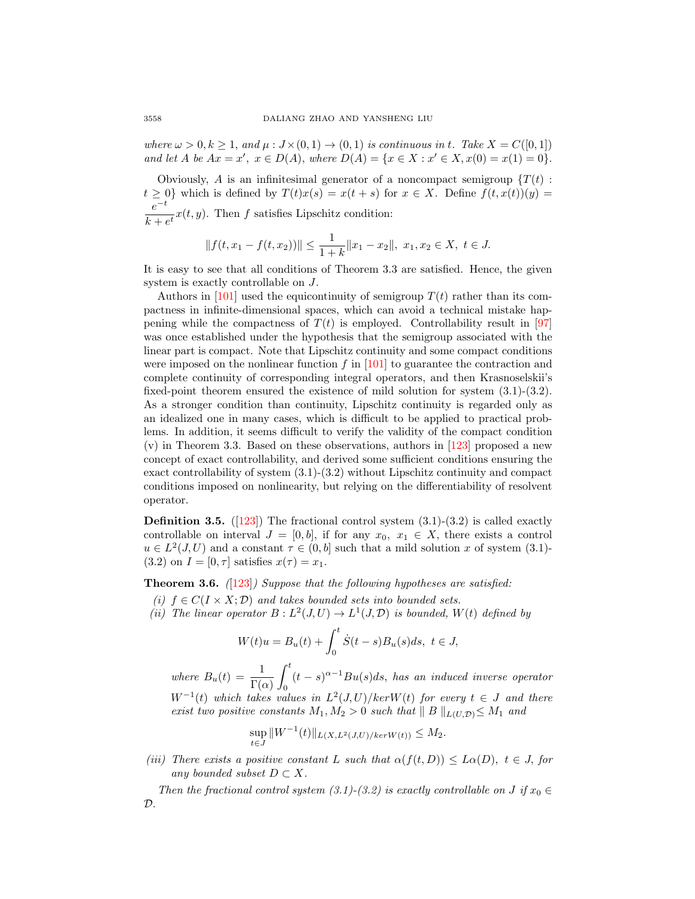where  $\omega > 0, k \ge 1$ , and  $\mu : J \times (0, 1) \to (0, 1)$  is continuous in t. Take  $X = C([0, 1])$ and let A be  $Ax = x'$ ,  $x \in D(A)$ , where  $D(A) = \{x \in X : x' \in X, x(0) = x(1) = 0\}$ .

Obviously, A is an infinitesimal generator of a noncompact semigroup  $\{T(t):$  $t \geq 0$ } which is defined by  $T(t)x(s) = x(t + s)$  for  $x \in X$ . Define  $f(t, x(t))(y) =$  $e^{-t}$  $\frac{c}{k + e^t}x(t, y)$ . Then f satisfies Lipschitz condition:

$$
|| f(t, x_1 - f(t, x_2)) || \le \frac{1}{1+k} ||x_1 - x_2||, \ x_1, x_2 \in X, \ t \in J.
$$

It is easy to see that all conditions of Theorem 3.3 are satisfied. Hence, the given system is exactly controllable on J.

Authors in [\[101\]](#page-27-9) used the equicontinuity of semigroup  $T(t)$  rather than its compactness in infinite-dimensional spaces, which can avoid a technical mistake happening while the compactness of  $T(t)$  is employed. Controllability result in [\[97\]](#page-27-12) was once established under the hypothesis that the semigroup associated with the linear part is compact. Note that Lipschitz continuity and some compact conditions were imposed on the nonlinear function f in  $[101]$  to guarantee the contraction and complete continuity of corresponding integral operators, and then Krasnoselskii's fixed-point theorem ensured the existence of mild solution for system (3.1)-(3.2). As a stronger condition than continuity, Lipschitz continuity is regarded only as an idealized one in many cases, which is difficult to be applied to practical problems. In addition, it seems difficult to verify the validity of the compact condition (v) in Theorem 3.3. Based on these observations, authors in [\[123\]](#page-28-18) proposed a new concept of exact controllability, and derived some sufficient conditions ensuring the exact controllability of system (3.1)-(3.2) without Lipschitz continuity and compact conditions imposed on nonlinearity, but relying on the differentiability of resolvent operator.

**Definition 3.5.** ([\[123\]](#page-28-18)) The fractional control system  $(3.1)-(3.2)$  is called exactly controllable on interval  $J = [0, b]$ , if for any  $x_0, x_1 \in X$ , there exists a control  $u \in L^2(J, U)$  and a constant  $\tau \in (0, b]$  such that a mild solution x of system (3.1)-(3.2) on  $I = [0, \tau]$  satisfies  $x(\tau) = x_1$ .

**Theorem 3.6.** ([\[123\]](#page-28-18)) Suppose that the following hypotheses are satisfied:

- (i)  $f \in C(I \times X; \mathcal{D})$  and takes bounded sets into bounded sets.
- (ii) The linear operator  $B: L^2(J, U) \to L^1(J, \mathcal{D})$  is bounded,  $W(t)$  defined by

$$
W(t)u = B_u(t) + \int_0^t \dot{S}(t-s)B_u(s)ds, \ t \in J,
$$

where  $B_u(t) = \frac{1}{\Gamma(\alpha)}$  $\int_0^t$  $\mathbf{0}$  $(t-s)^{\alpha-1}Bu(s)ds$ , has an induced inverse operator  $W^{-1}(t)$  which takes values in  $L^2(J, U)/ker W(t)$  for every  $t \in J$  and there exist two positive constants  $M_1, M_2 > 0$  such that  $||B||_{L(U,\mathcal{D})} \leq M_1$  and

$$
\sup_{t \in J} ||W^{-1}(t)||_{L(X, L^2(J, U)/ker W(t))} \le M_2.
$$

(iii) There exists a positive constant L such that  $\alpha(f(t,D)) \leq L\alpha(D), t \in J$ , for any bounded subset  $D \subset X$ .

Then the fractional control system (3.1)-(3.2) is exactly controllable on J if  $x_0 \in$  $\mathcal{D}$ .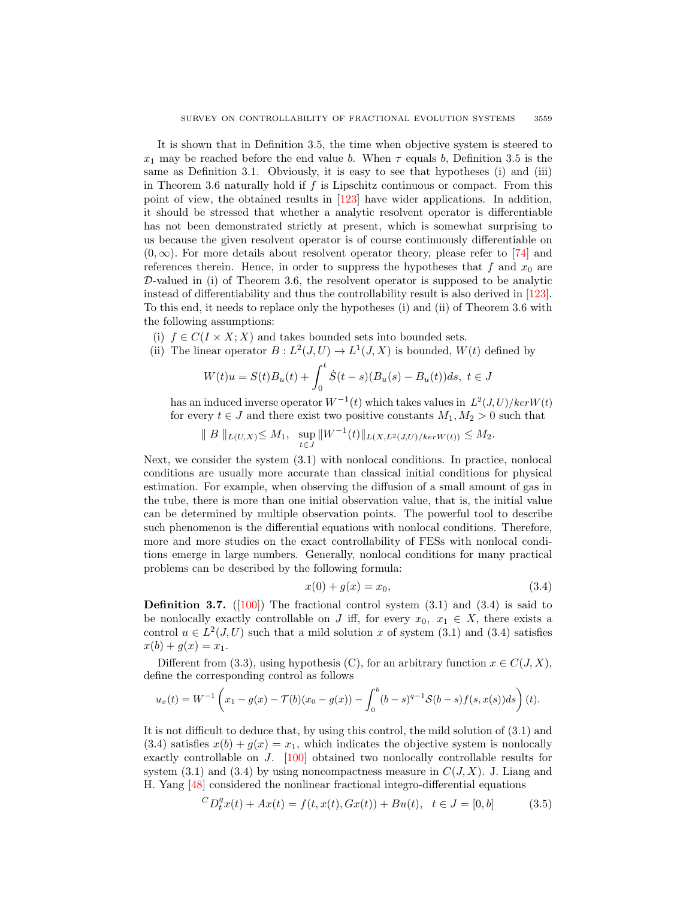It is shown that in Definition 3.5, the time when objective system is steered to  $x_1$  may be reached before the end value b. When  $\tau$  equals b, Definition 3.5 is the same as Definition 3.1. Obviously, it is easy to see that hypotheses (i) and (iii) in Theorem 3.6 naturally hold if  $f$  is Lipschitz continuous or compact. From this point of view, the obtained results in [\[123\]](#page-28-18) have wider applications. In addition, it should be stressed that whether a analytic resolvent operator is differentiable has not been demonstrated strictly at present, which is somewhat surprising to us because the given resolvent operator is of course continuously differentiable on  $(0, \infty)$ . For more details about resolvent operator theory, please refer to [\[74\]](#page-26-17) and references therein. Hence, in order to suppress the hypotheses that  $f$  and  $x_0$  are  $D$ -valued in (i) of Theorem 3.6, the resolvent operator is supposed to be analytic instead of differentiability and thus the controllability result is also derived in [\[123\]](#page-28-18). To this end, it needs to replace only the hypotheses (i) and (ii) of Theorem 3.6 with the following assumptions:

(i)  $f \in C(I \times X; X)$  and takes bounded sets into bounded sets.

(ii) The linear operator 
$$
B: L^2(J, U) \to L^1(J, X)
$$
 is bounded,  $W(t)$  defined by

$$
W(t)u = S(t)B_u(t) + \int_0^t \dot{S}(t-s)(B_u(s) - B_u(t))ds, \ t \in J
$$

has an induced inverse operator  $W^{-1}(t)$  which takes values in  $L^2(J, U)/ker W(t)$ for every  $t \in J$  and there exist two positive constants  $M_1, M_2 > 0$  such that

$$
|| B ||_{L(U,X)} \leq M_1
$$
,  $\sup_{t \in J} ||W^{-1}(t)||_{L(X,L^2(J,U)/ker W(t))} \leq M_2$ .

Next, we consider the system (3.1) with nonlocal conditions. In practice, nonlocal conditions are usually more accurate than classical initial conditions for physical estimation. For example, when observing the diffusion of a small amount of gas in the tube, there is more than one initial observation value, that is, the initial value can be determined by multiple observation points. The powerful tool to describe such phenomenon is the differential equations with nonlocal conditions. Therefore, more and more studies on the exact controllability of FESs with nonlocal conditions emerge in large numbers. Generally, nonlocal conditions for many practical problems can be described by the following formula:

$$
x(0) + g(x) = x_0,\t\t(3.4)
$$

**Definition 3.7.** ([\[100\]](#page-27-13)) The fractional control system  $(3.1)$  and  $(3.4)$  is said to be nonlocally exactly controllable on J iff, for every  $x_0, x_1 \in X$ , there exists a control  $u \in L^2(J, U)$  such that a mild solution x of system (3.1) and (3.4) satisfies  $x(b) + g(x) = x_1.$ 

Different from (3.3), using hypothesis (C), for an arbitrary function  $x \in C(J, X)$ , define the corresponding control as follows

$$
u_x(t) = W^{-1}\left(x_1 - g(x) - T(b)(x_0 - g(x)) - \int_0^b (b-s)^{q-1} \mathcal{S}(b-s) f(s, x(s)) ds\right)(t).
$$

It is not difficult to deduce that, by using this control, the mild solution of (3.1) and  $(3.4)$  satisfies  $x(b) + g(x) = x_1$ , which indicates the objective system is nonlocally exactly controllable on J. [\[100\]](#page-27-13) obtained two nonlocally controllable results for system  $(3.1)$  and  $(3.4)$  by using noncompactness measure in  $C(J, X)$ . J. Liang and H. Yang [\[48\]](#page-25-21) considered the nonlinear fractional integro-differential equations

$$
{}^{C}D_{t}^{q}x(t) + Ax(t) = f(t, x(t), Gx(t)) + Bu(t), \quad t \in J = [0, b]
$$
\n(3.5)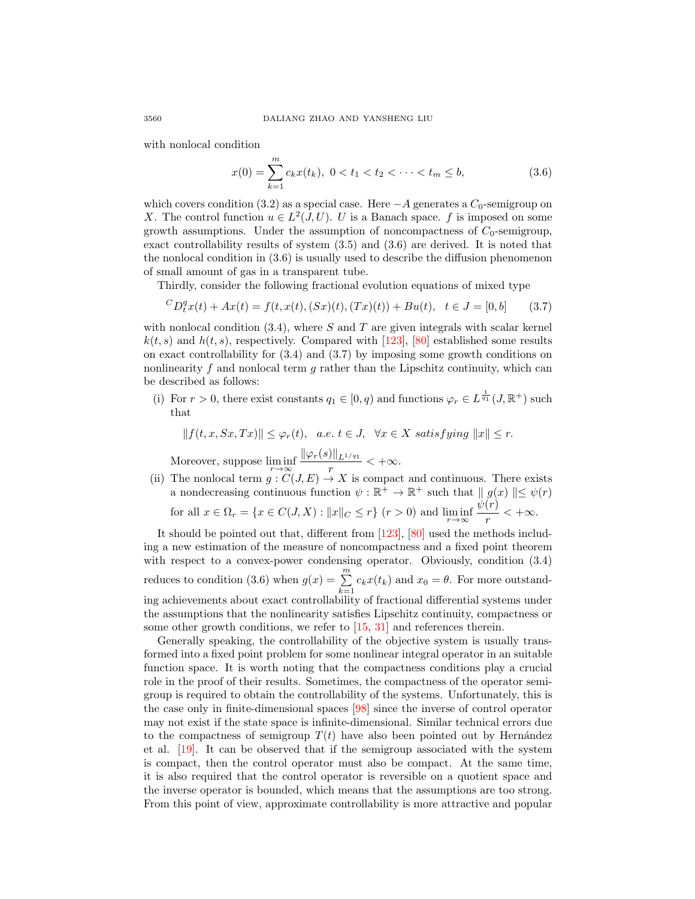with nonlocal condition

$$
x(0) = \sum_{k=1}^{m} c_k x(t_k), \ 0 < t_1 < t_2 < \dots < t_m \le b,\tag{3.6}
$$

which covers condition (3.2) as a special case. Here  $-A$  generates a  $C_0$ -semigroup on X. The control function  $u \in L^2(J, U)$ . U is a Banach space. f is imposed on some growth assumptions. Under the assumption of noncompactness of  $C_0$ -semigroup, exact controllability results of system (3.5) and (3.6) are derived. It is noted that the nonlocal condition in (3.6) is usually used to describe the diffusion phenomenon of small amount of gas in a transparent tube.

Thirdly, consider the following fractional evolution equations of mixed type

$$
{}^{C}D_{t}^{q}x(t) + Ax(t) = f(t, x(t), (Sx)(t), (Tx)(t)) + Bu(t), \quad t \in J = [0, b]
$$
 (3.7)

with nonlocal condition  $(3.4)$ , where S and T are given integrals with scalar kernel  $k(t, s)$  and  $h(t, s)$ , respectively. Compared with [\[123\]](#page-28-18), [\[80\]](#page-27-14) established some results on exact controllability for (3.4) and (3.7) by imposing some growth conditions on nonlinearity f and nonlocal term  $g$  rather than the Lipschitz continuity, which can be described as follows:

(i) For  $r > 0$ , there exist constants  $q_1 \in [0, q)$  and functions  $\varphi_r \in L^{\frac{1}{q_1}}(J, \mathbb{R}^+)$  such that

$$
||f(t, x, Sx, Tx)|| \le \varphi_r(t), \ \ a.e. \ t \in J, \ \ \forall x \in X \ satisfying \ ||x|| \le r.
$$

Moreover, suppose  $\liminf_{r \to \infty}$  $\|\varphi_r(s)\|_{L^{1/q_1}}$  $\frac{1}{r}$  < + $\infty$ .

(ii) The nonlocal term  $g: C(J, E) \to X$  is compact and continuous. There exists a nondecreasing continuous function  $\psi : \mathbb{R}^+ \to \mathbb{R}^+$  such that  $||g(x)|| \leq \psi(r)$ for all  $x \in \Omega_r = \{x \in C(J, X) : ||x||_C \le r\}$   $(r > 0)$  and  $\liminf_{r \to \infty}$  $\psi(r)$  $\frac{y}{r}$  < + $\infty$ .

It should be pointed out that, different from [\[123\]](#page-28-18), [\[80\]](#page-27-14) used the methods including a new estimation of the measure of noncompactness and a fixed point theorem with respect to a convex-power condensing operator. Obviously, condition  $(3.4)$ reduces to condition (3.6) when  $g(x) = \sum_{n=1}^{\infty}$  $\sum_{k=1} c_k x(t_k)$  and  $x_0 = \theta$ . For more outstanding achievements about exact controllability of fractional differential systems under the assumptions that the nonlinearity satisfies Lipschitz continuity, compactness or some other growth conditions, we refer to [\[15,](#page-24-13) [31\]](#page-25-23) and references therein.

Generally speaking, the controllability of the objective system is usually transformed into a fixed point problem for some nonlinear integral operator in an suitable function space. It is worth noting that the compactness conditions play a crucial role in the proof of their results. Sometimes, the compactness of the operator semigroup is required to obtain the controllability of the systems. Unfortunately, this is the case only in finite-dimensional spaces [\[98\]](#page-27-15) since the inverse of control operator may not exist if the state space is infinite-dimensional. Similar technical errors due to the compactness of semigroup  $T(t)$  have also been pointed out by Hernández et al. [\[19\]](#page-24-21). It can be observed that if the semigroup associated with the system is compact, then the control operator must also be compact. At the same time, it is also required that the control operator is reversible on a quotient space and the inverse operator is bounded, which means that the assumptions are too strong. From this point of view, approximate controllability is more attractive and popular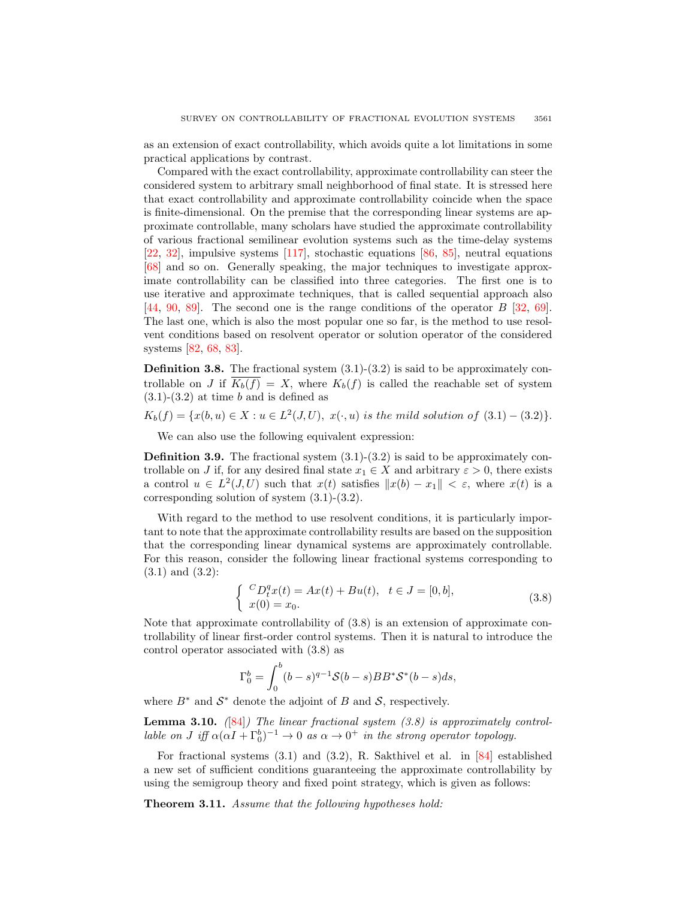as an extension of exact controllability, which avoids quite a lot limitations in some practical applications by contrast.

Compared with the exact controllability, approximate controllability can steer the considered system to arbitrary small neighborhood of final state. It is stressed here that exact controllability and approximate controllability coincide when the space is finite-dimensional. On the premise that the corresponding linear systems are approximate controllable, many scholars have studied the approximate controllability of various fractional semilinear evolution systems such as the time-delay systems [\[22,](#page-24-15) [32\]](#page-25-19), impulsive systems [\[117\]](#page-28-17), stochastic equations [\[86,](#page-27-11) [85\]](#page-27-16), neutral equations [\[68\]](#page-26-11) and so on. Generally speaking, the major techniques to investigate approximate controllability can be classified into three categories. The first one is to use iterative and approximate techniques, that is called sequential approach also [\[44,](#page-25-24) [90,](#page-27-17) [89\]](#page-27-18). The second one is the range conditions of the operator B [\[32,](#page-25-19) [69\]](#page-26-19). The last one, which is also the most popular one so far, is the method to use resolvent conditions based on resolvent operator or solution operator of the considered systems [\[82,](#page-27-19) [68,](#page-26-11) [83\]](#page-27-20).

**Definition 3.8.** The fractional system  $(3.1)-(3.2)$  is said to be approximately controllable on J if  $K_b(f) = X$ , where  $K_b(f)$  is called the reachable set of system  $(3.1)-(3.2)$  at time b and is defined as

$$
K_b(f) = \{x(b, u) \in X : u \in L^2(J, U), \ x(\cdot, u) \text{ is the mild solution of } (3.1) - (3.2)\}.
$$

We can also use the following equivalent expression:

**Definition 3.9.** The fractional system  $(3.1)-(3.2)$  is said to be approximately controllable on J if, for any desired final state  $x_1 \in X$  and arbitrary  $\varepsilon > 0$ , there exists a control  $u \in L^2(J, U)$  such that  $x(t)$  satisfies  $||x(b) - x_1|| < \varepsilon$ , where  $x(t)$  is a corresponding solution of system (3.1)-(3.2).

With regard to the method to use resolvent conditions, it is particularly important to note that the approximate controllability results are based on the supposition that the corresponding linear dynamical systems are approximately controllable. For this reason, consider the following linear fractional systems corresponding to (3.1) and (3.2):

$$
\begin{cases}\n C_{L}^{q}x(t) = Ax(t) + Bu(t), & t \in J = [0, b], \\
 x(0) = x_0.\n\end{cases}
$$
\n(3.8)

Note that approximate controllability of (3.8) is an extension of approximate controllability of linear first-order control systems. Then it is natural to introduce the control operator associated with (3.8) as

$$
\Gamma_0^b = \int_0^b (b-s)^{q-1} \mathcal{S}(b-s) BB^* \mathcal{S}^*(b-s) ds,
$$

where  $B^*$  and  $S^*$  denote the adjoint of B and S, respectively.

**Lemma 3.10.** ([\[84\]](#page-27-21)) The linear fractional system (3.8) is approximately controllable on J iff  $\alpha(\alpha I + \Gamma_0^b)^{-1} \to 0$  as  $\alpha \to 0^+$  in the strong operator topology.

For fractional systems (3.1) and (3.2), R. Sakthivel et al. in [\[84\]](#page-27-21) established a new set of sufficient conditions guaranteeing the approximate controllability by using the semigroup theory and fixed point strategy, which is given as follows:

Theorem 3.11. Assume that the following hypotheses hold: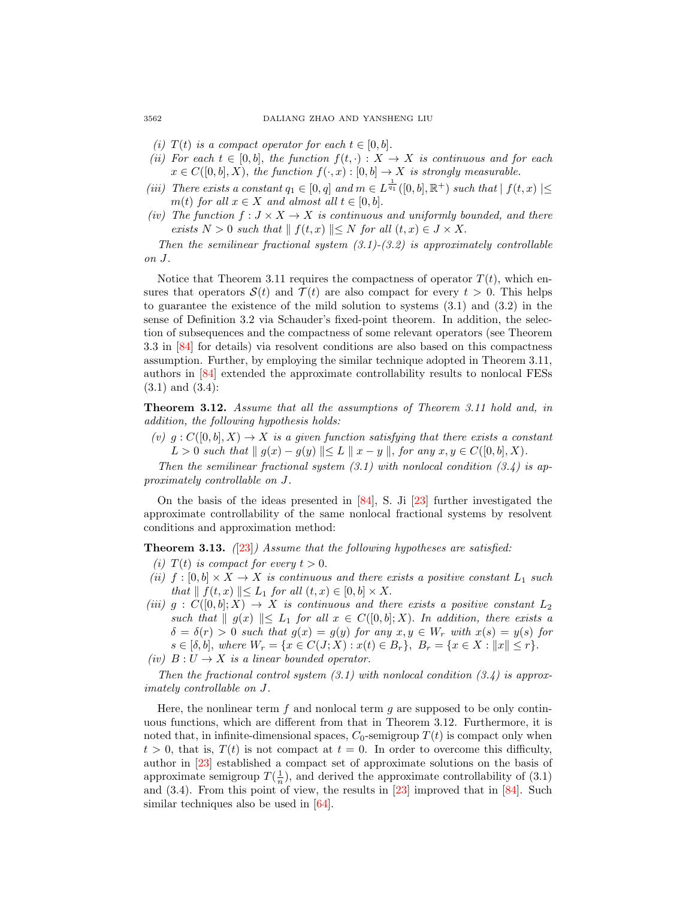- (i)  $T(t)$  is a compact operator for each  $t \in [0, b]$ .
- (ii) For each  $t \in [0, b]$ , the function  $f(t, \cdot) : X \to X$  is continuous and for each  $x \in C([0, b], X)$ , the function  $f(\cdot, x) : [0, b] \to X$  is strongly measurable.
- (iii) There exists a constant  $q_1 \in [0, q]$  and  $m \in L^{\frac{1}{q_1}}([0, b], \mathbb{R}^+)$  such that  $|f(t, x)| \leq$ m(t) for all  $x \in X$  and almost all  $t \in [0, b]$ .
- (iv) The function  $f: J \times X \to X$  is continuous and uniformly bounded, and there exists  $N > 0$  such that  $|| f(t, x) || \leq N$  for all  $(t, x) \in J \times X$ .

Then the semilinear fractional system  $(3.1)-(3.2)$  is approximately controllable on J.

Notice that Theorem 3.11 requires the compactness of operator  $T(t)$ , which ensures that operators  $\mathcal{S}(t)$  and  $\mathcal{T}(t)$  are also compact for every  $t > 0$ . This helps to guarantee the existence of the mild solution to systems (3.1) and (3.2) in the sense of Definition 3.2 via Schauder's fixed-point theorem. In addition, the selection of subsequences and the compactness of some relevant operators (see Theorem 3.3 in [\[84\]](#page-27-21) for details) via resolvent conditions are also based on this compactness assumption. Further, by employing the similar technique adopted in Theorem 3.11, authors in [\[84\]](#page-27-21) extended the approximate controllability results to nonlocal FESs (3.1) and (3.4):

Theorem 3.12. Assume that all the assumptions of Theorem 3.11 hold and, in addition, the following hypothesis holds:

(v)  $g: C([0, b], X) \to X$  is a given function satisfying that there exists a constant  $L > 0$  such that  $|| g(x) - g(y) || ≤ L || x - y ||$ , for any  $x, y ∈ C([0, b], X)$ .

Then the semilinear fractional system  $(3.1)$  with nonlocal condition  $(3.4)$  is approximately controllable on J.

On the basis of the ideas presented in [\[84\]](#page-27-21), S. Ji [\[23\]](#page-24-10) further investigated the approximate controllability of the same nonlocal fractional systems by resolvent conditions and approximation method:

**Theorem 3.13.**  $(23)$  Assume that the following hypotheses are satisfied:

- (i)  $T(t)$  is compact for every  $t > 0$ .
- (ii)  $f : [0, b] \times X \to X$  is continuous and there exists a positive constant  $L_1$  such that  $\| f(t, x) \| \le L_1$  for all  $(t, x) \in [0, b] \times X$ .
- (iii)  $g: C([0, b]; X) \to X$  is continuous and there exists a positive constant  $L_2$ such that  $||g(x)|| \le L_1$  for all  $x \in C([0, b]; X)$ . In addition, there exists a  $\delta = \delta(r) > 0$  such that  $g(x) = g(y)$  for any  $x, y \in W_r$  with  $x(s) = y(s)$  for  $s \in [\delta, b],$  where  $W_r = \{x \in C(J; X) : x(t) \in B_r\},$   $B_r = \{x \in X : ||x|| \leq r\}.$

Then the fractional control system  $(3.1)$  with nonlocal condition  $(3.4)$  is approximately controllable on J.

Here, the nonlinear term  $f$  and nonlocal term  $g$  are supposed to be only continuous functions, which are different from that in Theorem 3.12. Furthermore, it is noted that, in infinite-dimensional spaces,  $C_0$ -semigroup  $T(t)$  is compact only when  $t > 0$ , that is,  $T(t)$  is not compact at  $t = 0$ . In order to overcome this difficulty, author in [\[23\]](#page-24-10) established a compact set of approximate solutions on the basis of approximate semigroup  $T(\frac{1}{n})$ , and derived the approximate controllability of (3.1) and  $(3.4)$ . From this point of view, the results in  $[23]$  improved that in  $[84]$ . Such similar techniques also be used in [\[64\]](#page-26-20).

<sup>(</sup>iv)  $B: U \to X$  is a linear bounded operator.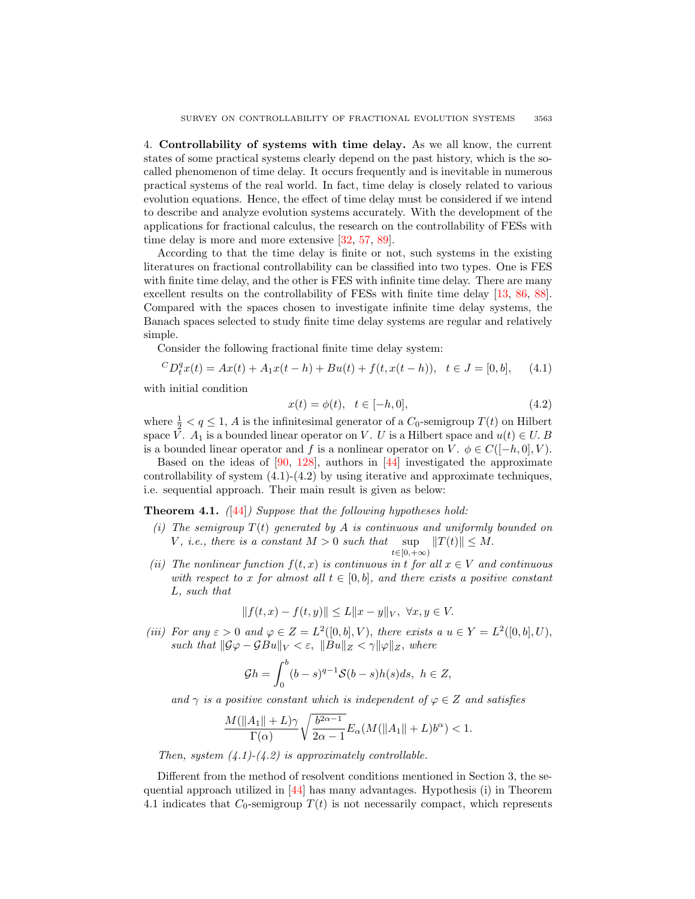4. Controllability of systems with time delay. As we all know, the current states of some practical systems clearly depend on the past history, which is the socalled phenomenon of time delay. It occurs frequently and is inevitable in numerous practical systems of the real world. In fact, time delay is closely related to various evolution equations. Hence, the effect of time delay must be considered if we intend to describe and analyze evolution systems accurately. With the development of the applications for fractional calculus, the research on the controllability of FESs with time delay is more and more extensive [\[32,](#page-25-19) [57,](#page-26-12) [89\]](#page-27-18).

According to that the time delay is finite or not, such systems in the existing literatures on fractional controllability can be classified into two types. One is FES with finite time delay, and the other is FES with infinite time delay. There are many excellent results on the controllability of FESs with finite time delay [\[13,](#page-24-9) [86,](#page-27-11) [88\]](#page-27-22). Compared with the spaces chosen to investigate infinite time delay systems, the Banach spaces selected to study finite time delay systems are regular and relatively simple.

Consider the following fractional finite time delay system:

$$
{}^{C}D_{t}^{q}x(t) = Ax(t) + A_{1}x(t-h) + Bu(t) + f(t, x(t-h)), \quad t \in J = [0, b], \quad (4.1)
$$

with initial condition

$$
x(t) = \phi(t), \quad t \in [-h, 0], \tag{4.2}
$$

where  $\frac{1}{2} < q \leq 1$ , A is the infinitesimal generator of a  $C_0$ -semigroup  $T(t)$  on Hilbert space V.  $A_1$  is a bounded linear operator on V. U is a Hilbert space and  $u(t) \in U$ . B is a bounded linear operator and f is a nonlinear operator on V.  $\phi \in C([-h, 0], V)$ .

Based on the ideas of  $[90, 128]$  $[90, 128]$ , authors in  $[44]$  investigated the approximate controllability of system  $(4.1)-(4.2)$  by using iterative and approximate techniques, i.e. sequential approach. Their main result is given as below:

**Theorem 4.1.** ([\[44\]](#page-25-24)) Suppose that the following hypotheses hold:

- (i) The semigroup  $T(t)$  generated by A is continuous and uniformly bounded on V, i.e., there is a constant  $M > 0$  such that sup  $t\in[0,+\infty)$  $||T(t)|| \leq M.$
- (ii) The nonlinear function  $f(t, x)$  is continuous in t for all  $x \in V$  and continuous with respect to x for almost all  $t \in [0, b]$ , and there exists a positive constant L, such that

$$
|| f(t, x) - f(t, y)|| \le L||x - y||_V, \ \forall x, y \in V.
$$

(iii) For any  $\varepsilon > 0$  and  $\varphi \in Z = L^2([0, b], V)$ , there exists a  $u \in Y = L^2([0, b], U)$ , such that  $\|\mathcal{G}\varphi - \mathcal{G}Bu\|_V < \varepsilon$ ,  $\|Bu\|_Z < \gamma \|\varphi\|_Z$ , where

$$
\mathcal{G}h = \int_0^b (b-s)^{q-1} \mathcal{S}(b-s)h(s)ds, \ h \in Z,
$$

and  $\gamma$  is a positive constant which is independent of  $\varphi \in Z$  and satisfies

$$
\frac{M(\|A_1\|+L)\gamma}{\Gamma(\alpha)}\sqrt{\frac{b^{2\alpha-1}}{2\alpha-1}}E_{\alpha}(M(\|A_1\|+L)b^{\alpha})<1.
$$

Then, system  $(4.1)-(4.2)$  is approximately controllable.

Different from the method of resolvent conditions mentioned in Section 3, the sequential approach utilized in [\[44\]](#page-25-24) has many advantages. Hypothesis (i) in Theorem 4.1 indicates that  $C_0$ -semigroup  $T(t)$  is not necessarily compact, which represents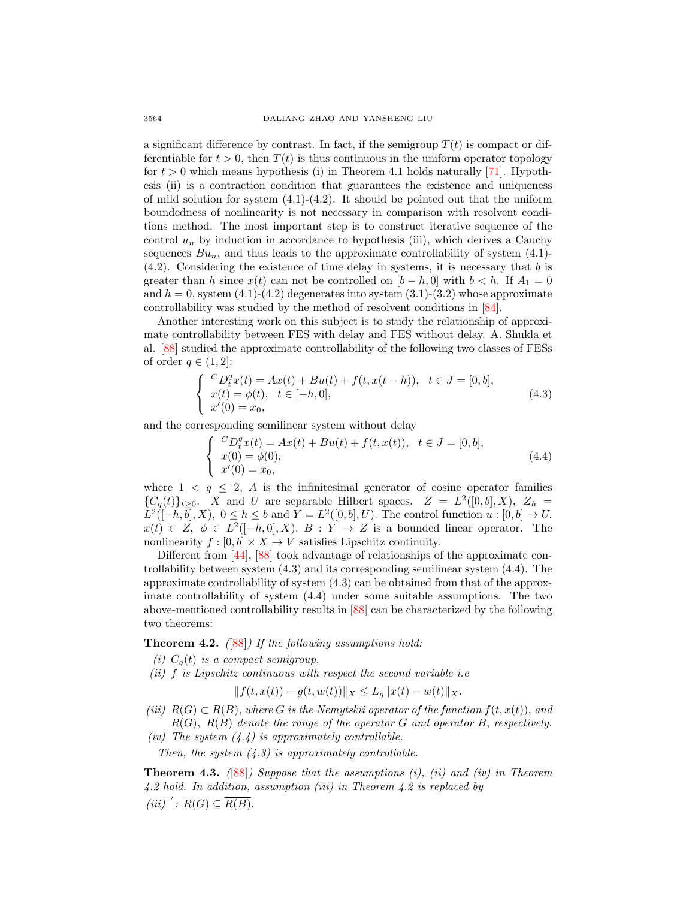a significant difference by contrast. In fact, if the semigroup  $T(t)$  is compact or differentiable for  $t > 0$ , then  $T(t)$  is thus continuous in the uniform operator topology for  $t > 0$  which means hypothesis (i) in Theorem 4.1 holds naturally [\[71\]](#page-26-21). Hypothesis (ii) is a contraction condition that guarantees the existence and uniqueness of mild solution for system  $(4.1)-(4.2)$ . It should be pointed out that the uniform boundedness of nonlinearity is not necessary in comparison with resolvent conditions method. The most important step is to construct iterative sequence of the control  $u_n$  by induction in accordance to hypothesis (iii), which derives a Cauchy sequences  $Bu_n$ , and thus leads to the approximate controllability of system (4.1)- $(4.2)$ . Considering the existence of time delay in systems, it is necessary that b is greater than h since  $x(t)$  can not be controlled on  $[b-h, 0]$  with  $b < h$ . If  $A_1 = 0$ and  $h = 0$ , system  $(4.1)-(4.2)$  degenerates into system  $(3.1)-(3.2)$  whose approximate controllability was studied by the method of resolvent conditions in [\[84\]](#page-27-21).

Another interesting work on this subject is to study the relationship of approximate controllability between FES with delay and FES without delay. A. Shukla et al. [\[88\]](#page-27-22) studied the approximate controllability of the following two classes of FESs of order  $q \in (1,2]$ :

$$
\begin{cases}\n^{C}D_{t}^{q}x(t) = Ax(t) + Bu(t) + f(t, x(t - h)), \quad t \in J = [0, b], \\
x(t) = \phi(t), \quad t \in [-h, 0], \\
x'(0) = x_{0},\n\end{cases} \tag{4.3}
$$

and the corresponding semilinear system without delay

$$
\begin{cases}\n^{C}D_{t}^{q}x(t) = Ax(t) + Bu(t) + f(t, x(t)), \quad t \in J = [0, b], \\
x(0) = \phi(0), \\
x'(0) = x_{0},\n\end{cases}
$$
\n(4.4)

where  $1 \leq q \leq 2$ , A is the infinitesimal generator of cosine operator families  ${C_q(t)}_{t\geq0}$ . X and U are separable Hilbert spaces.  $Z = L^2([0, b], X)$ ,  $Z_h =$  $L^2([-h,\overline{b}],X), 0 \leq h \leq b$  and  $Y = L^2([0,b],U)$ . The control function  $u:[0,b] \to U$ .  $x(t) \in Z$ ,  $\phi \in L^2([-h, 0], X)$ .  $B: Y \to Z$  is a bounded linear operator. The nonlinearity  $f : [0, b] \times X \to V$  satisfies Lipschitz continuity.

Different from [\[44\]](#page-25-24), [\[88\]](#page-27-22) took advantage of relationships of the approximate controllability between system (4.3) and its corresponding semilinear system (4.4). The approximate controllability of system (4.3) can be obtained from that of the approximate controllability of system (4.4) under some suitable assumptions. The two above-mentioned controllability results in [\[88\]](#page-27-22) can be characterized by the following two theorems:

**Theorem 4.2.**  $([88])$  $([88])$  $([88])$  If the following assumptions hold:

- (i)  $C_q(t)$  is a compact semigroup.
- (ii)  $f$  is Lipschitz continuous with respect the second variable i.e.

$$
||f(t, x(t)) - g(t, w(t))||X \le L_g ||x(t) - w(t)||X.
$$

- (iii)  $R(G) \subset R(B)$ , where G is the Nemytskii operator of the function  $f(t, x(t))$ , and  $R(G)$ ,  $R(B)$  denote the range of the operator G and operator B, respectively.
- (iv) The system  $(4.4)$  is approximately controllable.

Then, the system  $(4.3)$  is approximately controllable.

**Theorem 4.3.** ([\[88\]](#page-27-22)) Suppose that the assumptions (i), (ii) and (iv) in Theorem 4.2 hold. In addition, assumption (iii) in Theorem 4.2 is replaced by (iii)  $\colon R(G) \subseteq \overline{R(B)}$ .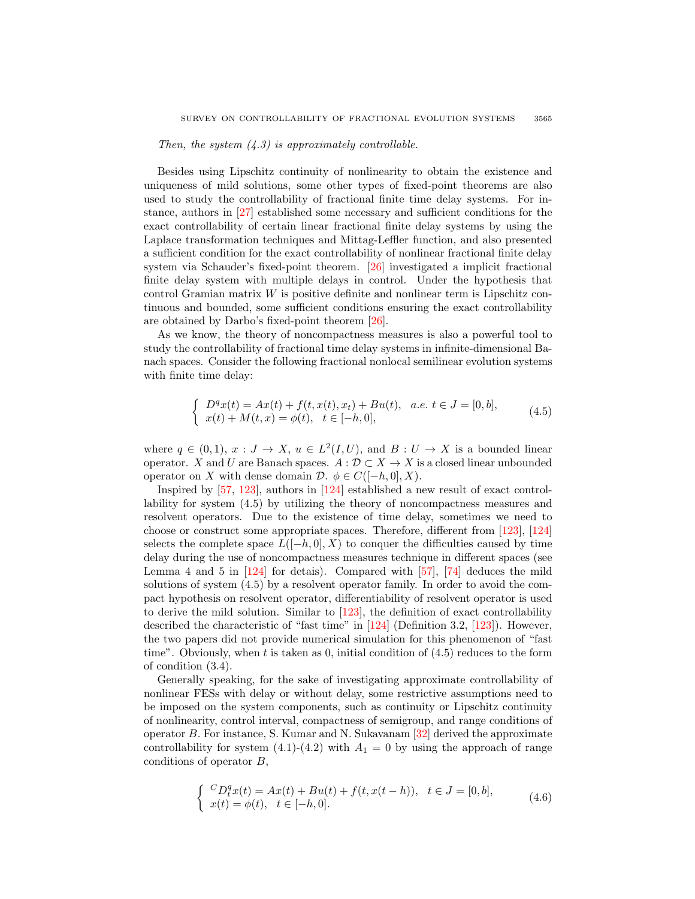## Then, the system  $(4.3)$  is approximately controllable.

Besides using Lipschitz continuity of nonlinearity to obtain the existence and uniqueness of mild solutions, some other types of fixed-point theorems are also used to study the controllability of fractional finite time delay systems. For instance, authors in [\[27\]](#page-24-18) established some necessary and sufficient conditions for the exact controllability of certain linear fractional finite delay systems by using the Laplace transformation techniques and Mittag-Leffler function, and also presented a sufficient condition for the exact controllability of nonlinear fractional finite delay system via Schauder's fixed-point theorem. [\[26\]](#page-24-12) investigated a implicit fractional finite delay system with multiple delays in control. Under the hypothesis that control Gramian matrix  $W$  is positive definite and nonlinear term is Lipschitz continuous and bounded, some sufficient conditions ensuring the exact controllability are obtained by Darbo's fixed-point theorem [\[26\]](#page-24-12).

As we know, the theory of noncompactness measures is also a powerful tool to study the controllability of fractional time delay systems in infinite-dimensional Banach spaces. Consider the following fractional nonlocal semilinear evolution systems with finite time delay:

$$
\begin{cases}\nD^q x(t) = Ax(t) + f(t, x(t), x_t) + Bu(t), & a.e. \ t \in J = [0, b], \\
x(t) + M(t, x) = \phi(t), \quad t \in [-h, 0],\n\end{cases} \tag{4.5}
$$

where  $q \in (0,1)$ ,  $x: J \to X$ ,  $u \in L^2(I, U)$ , and  $B: U \to X$  is a bounded linear operator. X and U are Banach spaces.  $A: \mathcal{D} \subset X \to X$  is a closed linear unbounded operator on X with dense domain  $\mathcal{D}$ .  $\phi \in C([-h, 0], X)$ .

Inspired by [\[57,](#page-26-12) [123\]](#page-28-18), authors in [\[124\]](#page-28-19) established a new result of exact controllability for system (4.5) by utilizing the theory of noncompactness measures and resolvent operators. Due to the existence of time delay, sometimes we need to choose or construct some appropriate spaces. Therefore, different from [\[123\]](#page-28-18), [\[124\]](#page-28-19) selects the complete space  $L([-h, 0], X)$  to conquer the difficulties caused by time delay during the use of noncompactness measures technique in different spaces (see Lemma 4 and 5 in  $[124]$  for detais). Compared with  $[57]$ ,  $[74]$  deduces the mild solutions of system (4.5) by a resolvent operator family. In order to avoid the compact hypothesis on resolvent operator, differentiability of resolvent operator is used to derive the mild solution. Similar to [\[123\]](#page-28-18), the definition of exact controllability described the characteristic of "fast time" in [\[124\]](#page-28-19) (Definition 3.2, [\[123\]](#page-28-18)). However, the two papers did not provide numerical simulation for this phenomenon of "fast time". Obviously, when  $t$  is taken as 0, initial condition of  $(4.5)$  reduces to the form of condition (3.4).

Generally speaking, for the sake of investigating approximate controllability of nonlinear FESs with delay or without delay, some restrictive assumptions need to be imposed on the system components, such as continuity or Lipschitz continuity of nonlinearity, control interval, compactness of semigroup, and range conditions of operator B. For instance, S. Kumar and N. Sukavanam [\[32\]](#page-25-19) derived the approximate controllability for system (4.1)-(4.2) with  $A_1 = 0$  by using the approach of range conditions of operator B,

$$
\begin{cases}\n^{C}D_{t}^{q}x(t) = Ax(t) + Bu(t) + f(t, x(t-h)), \quad t \in J = [0, b], \\
x(t) = \phi(t), \quad t \in [-h, 0].\n\end{cases} (4.6)
$$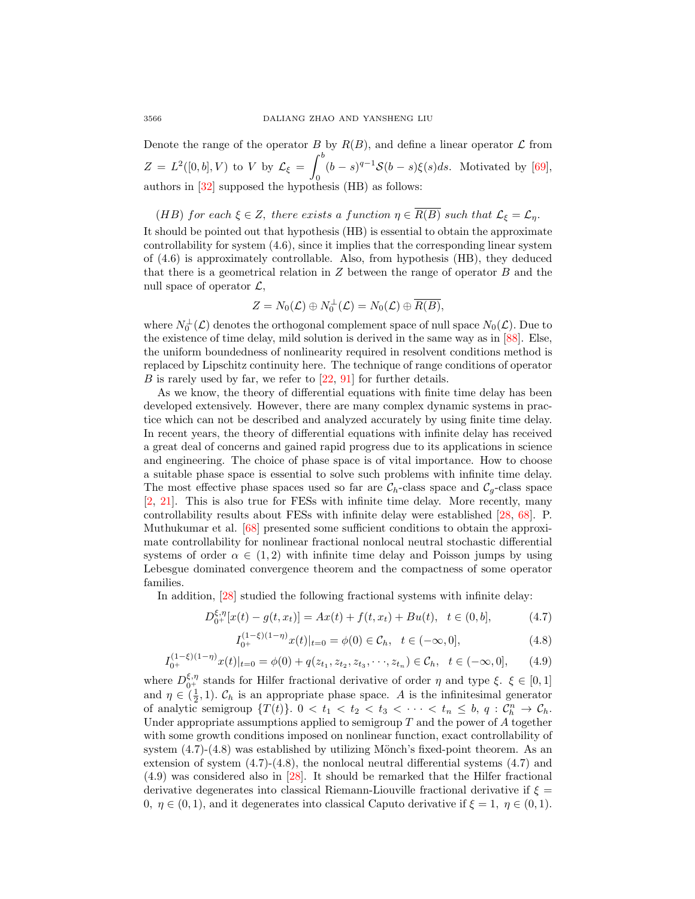Denote the range of the operator B by  $R(B)$ , and define a linear operator L from  $Z = L^2([0, b], V)$  to V by  $\mathcal{L}_{\xi} = \int^b$ 0  $(b-s)^{q-1}\mathcal{S}(b-s)\xi(s)ds$ . Motivated by [\[69\]](#page-26-19), authors in [\[32\]](#page-25-19) supposed the hypothesis (HB) as follows:

(HB) for each  $\xi \in Z$ , there exists a function  $\eta \in \overline{R(B)}$  such that  $\mathcal{L}_{\xi} = \mathcal{L}_{\eta}$ . It should be pointed out that hypothesis (HB) is essential to obtain the approximate controllability for system (4.6), since it implies that the corresponding linear system of (4.6) is approximately controllable. Also, from hypothesis (HB), they deduced that there is a geometrical relation in  $Z$  between the range of operator  $B$  and the null space of operator  $\mathcal{L}$ ,

$$
Z = N_0(\mathcal{L}) \oplus N_0^{\perp}(\mathcal{L}) = N_0(\mathcal{L}) \oplus \overline{R(B)},
$$

where  $N_0^{\perp}(\mathcal{L})$  denotes the orthogonal complement space of null space  $N_0(\mathcal{L})$ . Due to the existence of time delay, mild solution is derived in the same way as in [\[88\]](#page-27-22). Else, the uniform boundedness of nonlinearity required in resolvent conditions method is replaced by Lipschitz continuity here. The technique of range conditions of operator B is rarely used by far, we refer to  $[22, 91]$  $[22, 91]$  for further details.

As we know, the theory of differential equations with finite time delay has been developed extensively. However, there are many complex dynamic systems in practice which can not be described and analyzed accurately by using finite time delay. In recent years, the theory of differential equations with infinite delay has received a great deal of concerns and gained rapid progress due to its applications in science and engineering. The choice of phase space is of vital importance. How to choose a suitable phase space is essential to solve such problems with infinite time delay. The most effective phase spaces used so far are  $C_h$ -class space and  $C_g$ -class space [\[2,](#page-23-2) [21\]](#page-24-22). This is also true for FESs with infinite time delay. More recently, many controllability results about FESs with infinite delay were established [\[28,](#page-24-23) [68\]](#page-26-11). P. Muthukumar et al. [\[68\]](#page-26-11) presented some sufficient conditions to obtain the approximate controllability for nonlinear fractional nonlocal neutral stochastic differential systems of order  $\alpha \in (1,2)$  with infinite time delay and Poisson jumps by using Lebesgue dominated convergence theorem and the compactness of some operator families.

In addition, [\[28\]](#page-24-23) studied the following fractional systems with infinite delay:

$$
D_{0^{+}}^{\xi,\eta}[x(t) - g(t, x_t)] = Ax(t) + f(t, x_t) + Bu(t), \quad t \in (0, b],
$$
\n(4.7)

$$
I_{0^{+}}^{(1-\xi)(1-\eta)}x(t)|_{t=0} = \phi(0) \in \mathcal{C}_h, \quad t \in (-\infty, 0],
$$
\n(4.8)

$$
I_{0^{+}}^{(1-\xi)(1-\eta)}x(t)|_{t=0} = \phi(0) + q(z_{t_1}, z_{t_2}, z_{t_3}, \cdots, z_{t_n}) \in \mathcal{C}_h, \quad t \in (-\infty, 0], \tag{4.9}
$$

where  $D_{0+}^{\xi,\eta}$  stands for Hilfer fractional derivative of order  $\eta$  and type  $\xi$ .  $\xi \in [0,1]$ and  $\eta \in (\frac{1}{2}, 1)$ .  $\mathcal{C}_h$  is an appropriate phase space. A is the infinitesimal generator of analytic semigroup  $\{T(t)\}\text{.} 0 < t_1 < t_2 < t_3 < \cdots < t_n \leq b, q : C_h^n \to C_h$ . Under appropriate assumptions applied to semigroup  $T$  and the power of  $A$  together with some growth conditions imposed on nonlinear function, exact controllability of system  $(4.7)-(4.8)$  was established by utilizing Mönch's fixed-point theorem. As an extension of system  $(4.7)-(4.8)$ , the nonlocal neutral differential systems  $(4.7)$  and (4.9) was considered also in [\[28\]](#page-24-23). It should be remarked that the Hilfer fractional derivative degenerates into classical Riemann-Liouville fractional derivative if  $\xi =$ 0,  $\eta \in (0, 1)$ , and it degenerates into classical Caputo derivative if  $\xi = 1, \eta \in (0, 1)$ .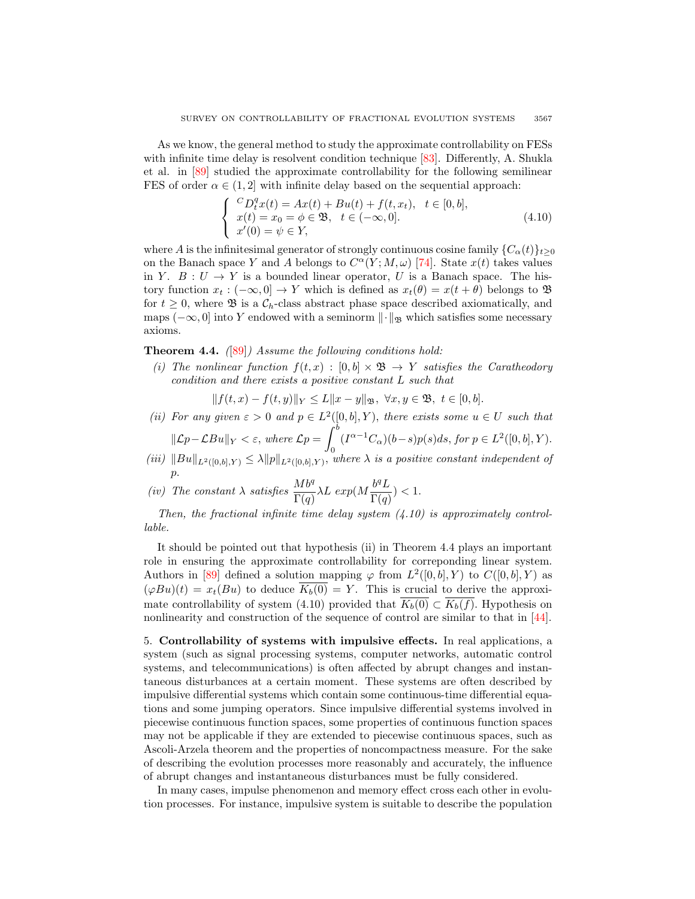As we know, the general method to study the approximate controllability on FESs with infinite time delay is resolvent condition technique [\[83\]](#page-27-20). Differently, A. Shukla et al. in [\[89\]](#page-27-18) studied the approximate controllability for the following semilinear FES of order  $\alpha \in (1, 2]$  with infinite delay based on the sequential approach:

$$
\begin{cases}\n^{C}D_{t}^{q}x(t) = Ax(t) + Bu(t) + f(t, x_{t}), & t \in [0, b], \\
x(t) = x_{0} = \phi \in \mathfrak{B}, & t \in (-\infty, 0]. \\
x'(0) = \psi \in Y,\n\end{cases} (4.10)
$$

where A is the infinitesimal generator of strongly continuous cosine family  ${C_{\alpha}(t)}_{t\geq0}$ on the Banach space Y and A belongs to  $C^{\alpha}(Y; M, \omega)$  [\[74\]](#page-26-17). State  $x(t)$  takes values in Y.  $B: U \to Y$  is a bounded linear operator, U is a Banach space. The history function  $x_t : (-\infty, 0] \to Y$  which is defined as  $x_t(\theta) = x(t + \theta)$  belongs to  $\mathfrak{B}$ for  $t \geq 0$ , where  $\mathfrak{B}$  is a  $\mathcal{C}_h$ -class abstract phase space described axiomatically, and maps ( $-\infty$ , 0] into Y endowed with a seminorm  $\|\cdot\|_{\mathfrak{B}}$  which satisfies some necessary axioms.

Theorem 4.4. ([\[89\]](#page-27-18)) Assume the following conditions hold:

(i) The nonlinear function  $f(t, x) : [0, b] \times \mathfrak{B} \to Y$  satisfies the Caratheodory condition and there exists a positive constant L such that

 $|| f(t, x) - f(t, y)||_Y \leq L||x - y||_{\mathfrak{B}}, \forall x, y \in \mathfrak{B}, t \in [0, b].$ 

- (ii) For any given  $\varepsilon > 0$  and  $p \in L^2([0, b], Y)$ , there exists some  $u \in U$  such that  $\|\mathcal{L}p-\mathcal{L}Bu\|_Y<\varepsilon$ , where  $\mathcal{L}p=\int^b$  $(I^{\alpha-1}C_{\alpha})(b-s)p(s)ds, for p \in L^{2}([0,b], Y).$
- 0 (iii)  $||Bu||_{L^2([0,b],Y)} \leq \lambda ||p||_{L^2([0,b],Y)}$ , where  $\lambda$  is a positive constant independent of

p. (iv) The constant  $\lambda$  satisfies  $\frac{Mb^{q}}{\Gamma(q)}\lambda L \exp(M\frac{b^{q}L}{\Gamma(q)}$  $\frac{\sigma}{\Gamma(q)}) < 1.$ 

Then, the fractional infinite time delay system  $(4.10)$  is approximately controllable.

It should be pointed out that hypothesis (ii) in Theorem 4.4 plays an important role in ensuring the approximate controllability for correponding linear system. Authors in [\[89\]](#page-27-18) defined a solution mapping  $\varphi$  from  $L^2([0,b],Y)$  to  $C([0,b],Y)$  as  $(\varphi Bu)(t) = x_t(Bu)$  to deduce  $\overline{K_b(0)} = Y$ . This is crucial to derive the approximate controllability of system (4.10) provided that  $\overline{K_b(0)} \subset \overline{K_b(f)}$ . Hypothesis on nonlinearity and construction of the sequence of control are similar to that in [\[44\]](#page-25-24).

5. Controllability of systems with impulsive effects. In real applications, a system (such as signal processing systems, computer networks, automatic control systems, and telecommunications) is often affected by abrupt changes and instantaneous disturbances at a certain moment. These systems are often described by impulsive differential systems which contain some continuous-time differential equations and some jumping operators. Since impulsive differential systems involved in piecewise continuous function spaces, some properties of continuous function spaces may not be applicable if they are extended to piecewise continuous spaces, such as Ascoli-Arzela theorem and the properties of noncompactness measure. For the sake of describing the evolution processes more reasonably and accurately, the influence of abrupt changes and instantaneous disturbances must be fully considered.

In many cases, impulse phenomenon and memory effect cross each other in evolution processes. For instance, impulsive system is suitable to describe the population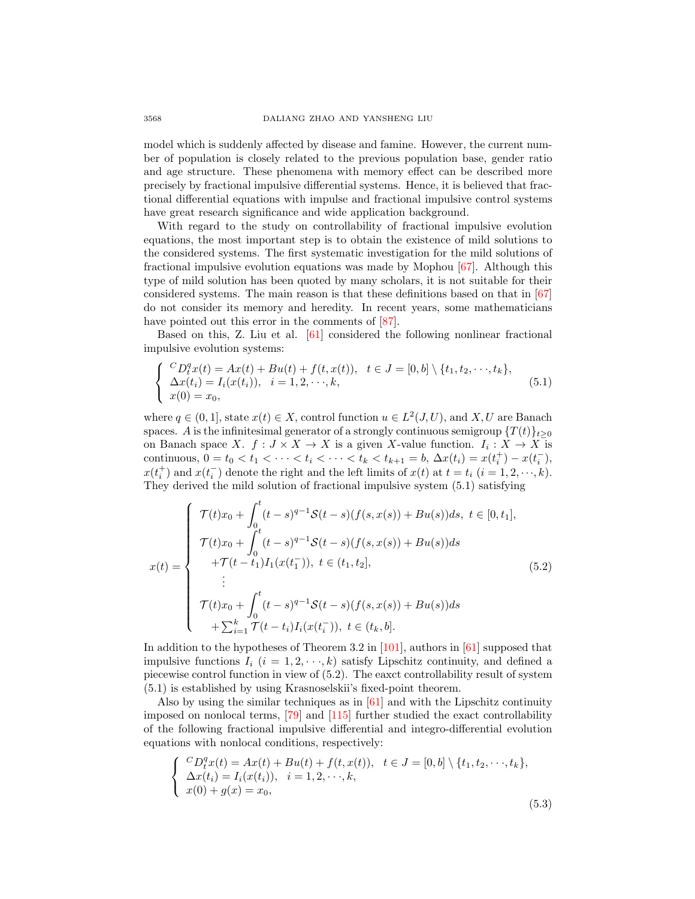model which is suddenly affected by disease and famine. However, the current number of population is closely related to the previous population base, gender ratio and age structure. These phenomena with memory effect can be described more precisely by fractional impulsive differential systems. Hence, it is believed that fractional differential equations with impulse and fractional impulsive control systems have great research significance and wide application background.

With regard to the study on controllability of fractional impulsive evolution equations, the most important step is to obtain the existence of mild solutions to the considered systems. The first systematic investigation for the mild solutions of fractional impulsive evolution equations was made by Mophou [\[67\]](#page-26-22). Although this type of mild solution has been quoted by many scholars, it is not suitable for their considered systems. The main reason is that these definitions based on that in  $[67]$ do not consider its memory and heredity. In recent years, some mathematicians have pointed out this error in the comments of  $[87]$ .

Based on this, Z. Liu et al. [\[61\]](#page-26-10) considered the following nonlinear fractional impulsive evolution systems:

$$
\begin{cases}\n^{C}D_{t}^{q}x(t) = Ax(t) + Bu(t) + f(t, x(t)), \quad t \in J = [0, b] \setminus \{t_{1}, t_{2}, \dots, t_{k}\}, \\
\Delta x(t_{i}) = I_{i}(x(t_{i})), \quad i = 1, 2, \dots, k, \\
x(0) = x_{0},\n\end{cases} (5.1)
$$

where  $q \in (0,1]$ , state  $x(t) \in X$ , control function  $u \in L^2(J, U)$ , and X, U are Banach spaces. A is the infinitesimal generator of a strongly continuous semigroup  $\{T(t)\}_{t\geq0}$ on Banach space X.  $f: J \times X \to X$  is a given X-value function.  $I_i: X \to X$  is continuous,  $0 = t_0 < t_1 < \cdots < t_i < \cdots < t_k < t_{k+1} = b$ ,  $\Delta x(t_i) = x(t_i^+) - x(t_i^-)$ ,  $x(t_i^+)$  and  $x(t_i^-)$  denote the right and the left limits of  $x(t)$  at  $t = t_i$   $(i = 1, 2, \dots, k)$ . They derived the mild solution of fractional impulsive system (5.1) satisfying

$$
x(t) = \begin{cases} \mathcal{T}(t)x_0 + \int_0^t (t-s)^{q-1} \mathcal{S}(t-s)(f(s,x(s)) + Bu(s))ds, \ t \in [0, t_1], \\ \mathcal{T}(t)x_0 + \int_0^t (t-s)^{q-1} \mathcal{S}(t-s)(f(s,x(s)) + Bu(s))ds \\ + \mathcal{T}(t-t_1)I_1(x(t_1^-)), \ t \in (t_1, t_2], \\ \vdots \\ \mathcal{T}(t)x_0 + \int_0^t (t-s)^{q-1} \mathcal{S}(t-s)(f(s,x(s)) + Bu(s))ds \\ + \sum_{i=1}^k \mathcal{T}(t-t_i)I_i(x(t_i^-)), \ t \in (t_k, b]. \end{cases}
$$
(5.2)

In addition to the hypotheses of Theorem 3.2 in [\[101\]](#page-27-9), authors in [\[61\]](#page-26-10) supposed that impulsive functions  $I_i$   $(i = 1, 2, \dots, k)$  satisfy Lipschitz continuity, and defined a piecewise control function in view of (5.2). The eaxct controllability result of system (5.1) is established by using Krasnoselskii's fixed-point theorem.

Also by using the similar techniques as in [\[61\]](#page-26-10) and with the Lipschitz continuity imposed on nonlocal terms, [\[79\]](#page-26-23) and [\[115\]](#page-28-25) further studied the exact controllability of the following fractional impulsive differential and integro-differential evolution equations with nonlocal conditions, respectively:

$$
\begin{cases}\n^{C}D_{t}^{q}x(t) = Ax(t) + Bu(t) + f(t, x(t)), \quad t \in J = [0, b] \setminus \{t_{1}, t_{2}, \dots, t_{k}\}, \\
\Delta x(t_{i}) = I_{i}(x(t_{i})), \quad i = 1, 2, \dots, k, \\
x(0) + g(x) = x_{0},\n\end{cases}
$$
\n(5.3)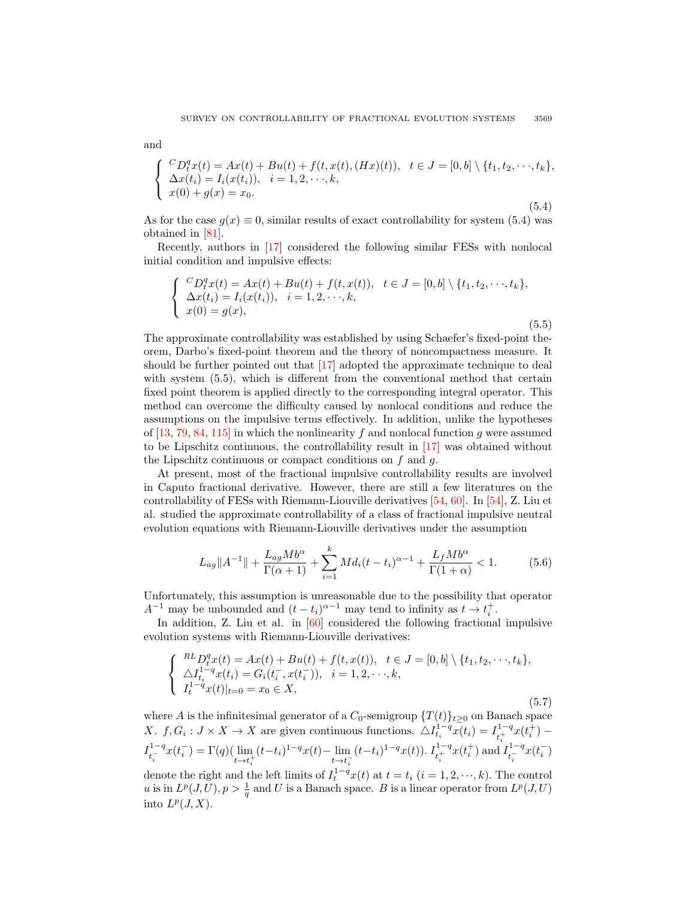$$
\begin{cases}\n^{C}D_{t}^{q}x(t) = Ax(t) + Bu(t) + f(t, x(t), (Hx)(t)), \quad t \in J = [0, b] \setminus \{t_{1}, t_{2}, \dots, t_{k}\}, \\
\Delta x(t_{i}) = I_{i}(x(t_{i})), \quad i = 1, 2, \dots, k, \\
x(0) + g(x) = x_{0}.\n\end{cases}
$$
\n(5.4)

As for the case  $g(x) \equiv 0$ , similar results of exact controllability for system (5.4) was obtained in [\[81\]](#page-27-24).

Recently, authors in [\[17\]](#page-24-11) considered the following similar FESs with nonlocal initial condition and impulsive effects:

$$
\begin{cases}\n^{C}D_{t}^{q}x(t) = Ax(t) + Bu(t) + f(t, x(t)), \quad t \in J = [0, b] \setminus \{t_{1}, t_{2}, \dots, t_{k}\}, \\
\Delta x(t_{i}) = I_{i}(x(t_{i})), \quad i = 1, 2, \dots, k, \\
x(0) = g(x),\n\end{cases}
$$
\n(5.5)

The approximate controllability was established by using Schaefer's fixed-point theorem, Darbo's fixed-point theorem and the theory of noncompactness measure. It should be further pointed out that [\[17\]](#page-24-11) adopted the approximate technique to deal with system (5.5), which is different from the conventional method that certain fixed point theorem is applied directly to the corresponding integral operator. This method can overcome the difficulty caused by nonlocal conditions and reduce the assumptions on the impulsive terms effectively. In addition, unlike the hypotheses of  $[13, 79, 84, 115]$  $[13, 79, 84, 115]$  $[13, 79, 84, 115]$  $[13, 79, 84, 115]$  $[13, 79, 84, 115]$  $[13, 79, 84, 115]$  in which the nonlinearity f and nonlocal function g were assumed to be Lipschitz continuous, the controllability result in [\[17\]](#page-24-11) was obtained without the Lipschitz continuous or compact conditions on  $f$  and  $g$ .

At present, most of the fractional impulsive controllability results are involved in Caputo fractional derivative. However, there are still a few literatures on the controllability of FESs with Riemann-Liouville derivatives [\[54,](#page-25-25) [60\]](#page-26-18). In [\[54\]](#page-25-25), Z. Liu et al. studied the approximate controllability of a class of fractional impulsive neutral evolution equations with Riemann-Liouville derivatives under the assumption

$$
L_{ag}||A^{-1}|| + \frac{L_{ag}Mb^{\alpha}}{\Gamma(\alpha+1)} + \sum_{i=1}^{k} Md_i(t-t_i)^{\alpha-1} + \frac{L_fMb^{\alpha}}{\Gamma(1+\alpha)} < 1.
$$
 (5.6)

Unfortunately, this assumption is unreasonable due to the possibility that operator  $A^{-1}$  may be unbounded and  $(t - t_i)^{\alpha - 1}$  may tend to infinity as  $t \to t_i^+$ .

In addition, Z. Liu et al. in [\[60\]](#page-26-18) considered the following fractional impulsive evolution systems with Riemann-Liouville derivatives:

$$
\begin{cases}\n^{RL} D_{t}^{q}x(t) = Ax(t) + Bu(t) + f(t, x(t)), \quad t \in J = [0, b] \setminus \{t_{1}, t_{2}, \dots, t_{k}\}, \\
\Delta I_{t_{i}}^{1-q}x(t_{i}) = G_{i}(t_{i}^{-}, x(t_{i}^{-})), \quad i = 1, 2, \dots, k, \\
I_{t}^{1-q}x(t)|_{t=0} = x_{0} \in X,\n\end{cases} (5.7)
$$

where A is the infinitesimal generator of a  $C_0$ -semigroup  $\{T(t)\}_{t\geq0}$  on Banach space X.  $f, G_i: J \times X \to X$  are given continuous functions.  $\Delta I_{t_i}^{1-q} \overline{x(t_i)} = I_{t_i}^{1-q}$  $\frac{1-q}{t_i^+}x(t_i^+) I_{1-}^{1-q}$  $t_i^{-1-q}x(t_i^-) = \Gamma(q) (\lim_{t \to t_i^+}$  $(t-t_i)^{1-q}x(t) - \lim_{t \to t_i^-}$  $(t-t_i)^{1-q}x(t)$ ).  $I_{t_i^+}^{1-q}x(t_i^+)$  and  $I_{t_i^-}^{1-q}$  $\frac{1-q}{t_i^{-}}x(t_i^{-})$ denote the right and the left limits of  $I_t^{1-q}x(t)$  at  $t = t_i$   $(i = 1, 2, \dots, k)$ . The control u is in  $L^p(J, U), p > \frac{1}{q}$  and U is a Banach space. B is a linear operator from  $L^p(J, U)$ into  $L^p(J,X)$ .

and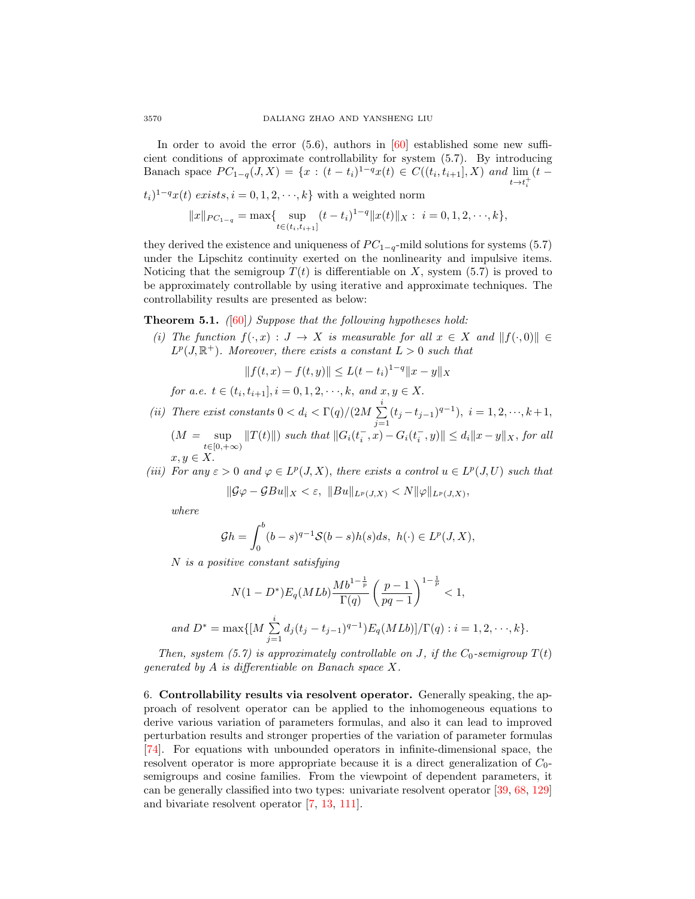In order to avoid the error  $(5.6)$ , authors in  $[60]$  established some new sufficient conditions of approximate controllability for system (5.7). By introducing Banach space  $PC_{1-q}(J,X) = \{x : (t-t_i)^{1-q}x(t) \in C((t_i,t_{i+1}],X) \text{ and } \lim_{t \to +} (t-t_i)^{1-q}x(t) \}$  $t\rightarrow t$ i

 $(t_i)^{1-q}x(t)$  exists,  $i = 0, 1, 2, \dots, k$  with a weighted norm

$$
||x||_{PC_{1-q}} = \max\{\sup_{t \in (t_i, t_{i+1}]} (t - t_i)^{1-q} ||x(t)||_X : i = 0, 1, 2, \cdots, k\},\
$$

they derived the existence and uniqueness of  $PC_{1-q}$ -mild solutions for systems (5.7) under the Lipschitz continuity exerted on the nonlinearity and impulsive items. Noticing that the semigroup  $T(t)$  is differentiable on X, system (5.7) is proved to be approximately controllable by using iterative and approximate techniques. The controllability results are presented as below:

**Theorem 5.1.** ([\[60\]](#page-26-18)) Suppose that the following hypotheses hold:

(i) The function  $f(\cdot, x) : J \to X$  is measurable for all  $x \in X$  and  $||f(\cdot, 0)|| \in$  $L^p(J, \mathbb{R}^+)$ . Moreover, there exists a constant  $L > 0$  such that

$$
||f(t,x) - f(t,y)|| \le L(t - t_i)^{1-q} ||x - y||_X
$$

for a.e.  $t \in (t_i, t_{i+1}], i = 0, 1, 2, \dots, k, \text{ and } x, y \in X.$ 

(ii) There exist constants  $0 < d_i < \Gamma(q)/(2M) \sum^i$  $\sum_{j=1}^{j} (t_j - t_{j-1})^{q-1}$ ,  $i = 1, 2, \dots, k+1$ ,  $(M = \sup |T(t)||)$  such that  $||G_i(t_i^-, x) - G_i(t_i^-, y)|| \le d_i ||x - y||_X$ , for all

$$
x, y \in X.
$$

(iii) For any  $\varepsilon > 0$  and  $\varphi \in L^p(J, X)$ , there exists a control  $u \in L^p(J, U)$  such that

$$
\|\mathcal{G}\varphi-\mathcal{G}Bu\|_X<\varepsilon,\,\,\|Bu\|_{L^p(J,X)}
$$

where

$$
\mathcal{G}h = \int_0^b (b-s)^{q-1} \mathcal{S}(b-s)h(s)ds, \ h(\cdot) \in L^p(J, X),
$$

N is a positive constant satisfying

$$
N(1 - D^*)E_q(MLb) \frac{Mb^{1 - \frac{1}{p}}}{\Gamma(q)} \left(\frac{p - 1}{pq - 1}\right)^{1 - \frac{1}{p}} < 1,
$$
  
and 
$$
D^* = \max\{[M \sum_{j=1}^i d_j (t_j - t_{j-1})^{q-1}) E_q(MLb)]/\Gamma(q) : i = 1, 2, \dots, k\}.
$$

Then, system (5.7) is approximately controllable on J, if the  $C_0$ -semigroup  $T(t)$ generated by A is differentiable on Banach space X.

6. Controllability results via resolvent operator. Generally speaking, the approach of resolvent operator can be applied to the inhomogeneous equations to derive various variation of parameters formulas, and also it can lead to improved perturbation results and stronger properties of the variation of parameter formulas [\[74\]](#page-26-17). For equations with unbounded operators in infinite-dimensional space, the resolvent operator is more appropriate because it is a direct generalization of  $C_0$ semigroups and cosine families. From the viewpoint of dependent parameters, it can be generally classified into two types: univariate resolvent operator [\[39,](#page-25-20) [68,](#page-26-11) [129\]](#page-28-16) and bivariate resolvent operator [\[7,](#page-24-24) [13,](#page-24-9) [111\]](#page-28-26).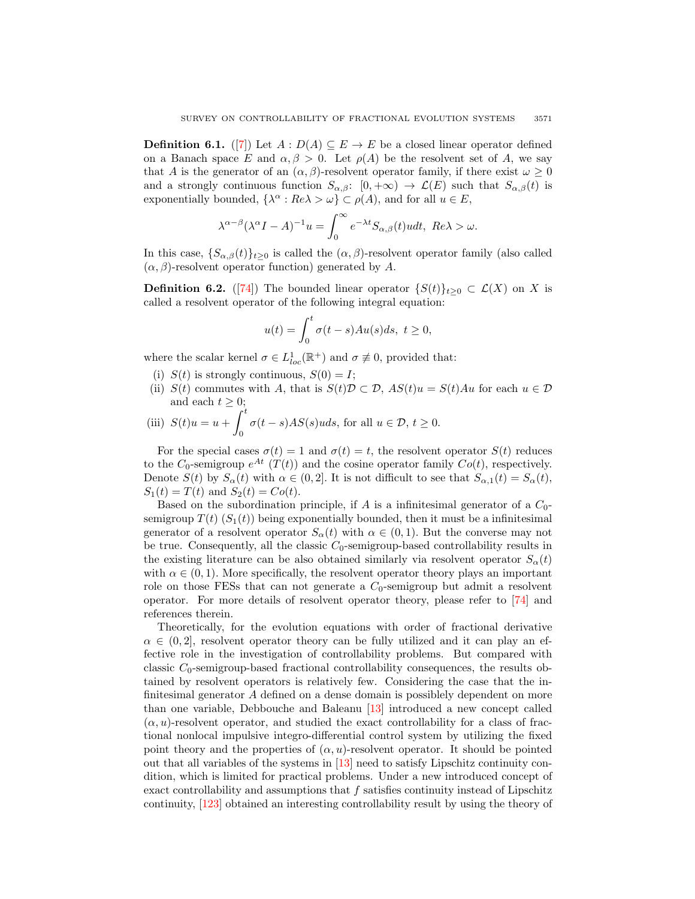**Definition 6.1.** ([\[7\]](#page-24-24)) Let  $A : D(A) \subseteq E \rightarrow E$  be a closed linear operator defined on a Banach space E and  $\alpha, \beta > 0$ . Let  $\rho(A)$  be the resolvent set of A, we say that A is the generator of an  $(\alpha, \beta)$ -resolvent operator family, if there exist  $\omega \geq 0$ and a strongly continuous function  $S_{\alpha,\beta}$ :  $[0, +\infty) \to \mathcal{L}(E)$  such that  $S_{\alpha,\beta}(t)$  is exponentially bounded,  $\{\lambda^{\alpha}: Re \lambda > \omega\} \subset \rho(A)$ , and for all  $u \in E$ ,

$$
\lambda^{\alpha-\beta}(\lambda^{\alpha}I-A)^{-1}u = \int_0^{\infty} e^{-\lambda t} S_{\alpha,\beta}(t)u dt, \ Re \lambda > \omega.
$$

In this case,  $\{S_{\alpha,\beta}(t)\}_{t\geq0}$  is called the  $(\alpha,\beta)$ -resolvent operator family (also called  $(\alpha, \beta)$ -resolvent operator function) generated by A.

**Definition 6.2.** ([\[74\]](#page-26-17)) The bounded linear operator  $\{S(t)\}_{t\geq0}\subset\mathcal{L}(X)$  on X is called a resolvent operator of the following integral equation:

$$
u(t) = \int_0^t \sigma(t-s)Au(s)ds, \ t \ge 0,
$$

where the scalar kernel  $\sigma \in L^1_{loc}(\mathbb{R}^+)$  and  $\sigma \not\equiv 0$ , provided that:

- (i)  $S(t)$  is strongly continuous,  $S(0) = I$ ;
- (ii)  $S(t)$  commutes with A, that is  $S(t)\mathcal{D} \subset \mathcal{D}$ ,  $AS(t)u = S(t)Au$  for each  $u \in \mathcal{D}$ and each  $t \geq 0$ ;

(iii) 
$$
S(t)u = u + \int_0^t \sigma(t-s)AS(s)uds
$$
, for all  $u \in \mathcal{D}$ ,  $t \ge 0$ .

For the special cases  $\sigma(t) = 1$  and  $\sigma(t) = t$ , the resolvent operator  $S(t)$  reduces to the  $C_0$ -semigroup  $e^{At}$   $(T(t))$  and the cosine operator family  $Co(t)$ , respectively. Denote  $S(t)$  by  $S_{\alpha}(t)$  with  $\alpha \in (0,2]$ . It is not difficult to see that  $S_{\alpha,1}(t) = S_{\alpha}(t)$ ,  $S_1(t) = T(t)$  and  $S_2(t) = Co(t)$ .

Based on the subordination principle, if A is a infinitesimal generator of a  $C_0$ semigroup  $T(t)$  ( $S_1(t)$ ) being exponentially bounded, then it must be a infinitesimal generator of a resolvent operator  $S_{\alpha}(t)$  with  $\alpha \in (0,1)$ . But the converse may not be true. Consequently, all the classic  $C_0$ -semigroup-based controllability results in the existing literature can be also obtained similarly via resolvent operator  $S_{\alpha}(t)$ with  $\alpha \in (0, 1)$ . More specifically, the resolvent operator theory plays an important role on those FESs that can not generate a  $C_0$ -semigroup but admit a resolvent operator. For more details of resolvent operator theory, please refer to [\[74\]](#page-26-17) and references therein.

Theoretically, for the evolution equations with order of fractional derivative  $\alpha \in (0, 2]$ , resolvent operator theory can be fully utilized and it can play an effective role in the investigation of controllability problems. But compared with classic  $C_0$ -semigroup-based fractional controllability consequences, the results obtained by resolvent operators is relatively few. Considering the case that the infinitesimal generator A defined on a dense domain is possiblely dependent on more than one variable, Debbouche and Baleanu [\[13\]](#page-24-9) introduced a new concept called  $(\alpha, u)$ -resolvent operator, and studied the exact controllability for a class of fractional nonlocal impulsive integro-differential control system by utilizing the fixed point theory and the properties of  $(\alpha, u)$ -resolvent operator. It should be pointed out that all variables of the systems in [\[13\]](#page-24-9) need to satisfy Lipschitz continuity condition, which is limited for practical problems. Under a new introduced concept of exact controllability and assumptions that  $f$  satisfies continuity instead of Lipschitz continuity, [\[123\]](#page-28-18) obtained an interesting controllability result by using the theory of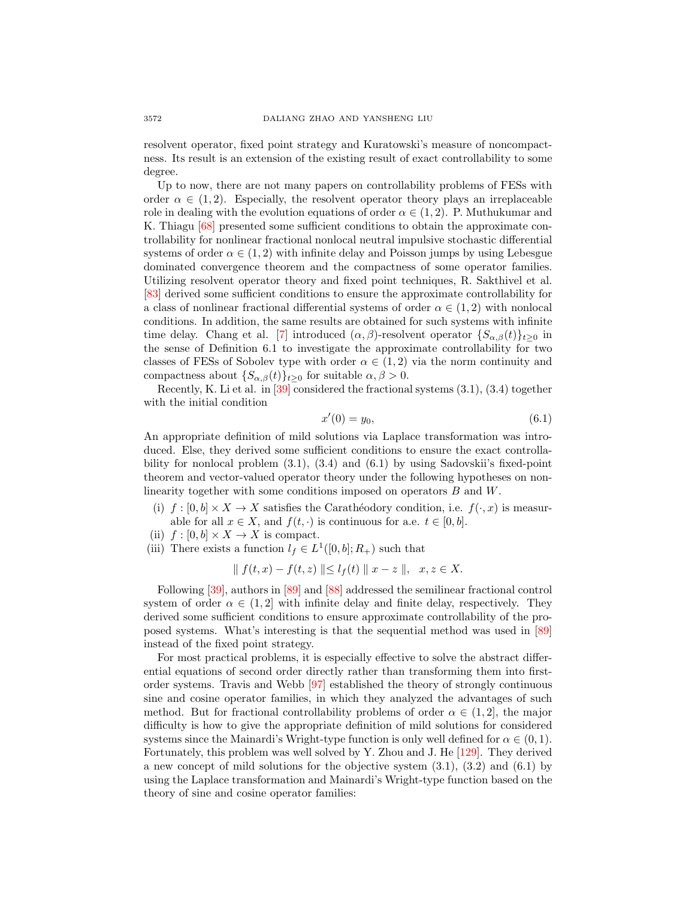resolvent operator, fixed point strategy and Kuratowski's measure of noncompactness. Its result is an extension of the existing result of exact controllability to some degree.

Up to now, there are not many papers on controllability problems of FESs with order  $\alpha \in (1,2)$ . Especially, the resolvent operator theory plays an irreplaceable role in dealing with the evolution equations of order  $\alpha \in (1, 2)$ . P. Muthukumar and K. Thiagu [\[68\]](#page-26-11) presented some sufficient conditions to obtain the approximate controllability for nonlinear fractional nonlocal neutral impulsive stochastic differential systems of order  $\alpha \in (1, 2)$  with infinite delay and Poisson jumps by using Lebesgue dominated convergence theorem and the compactness of some operator families. Utilizing resolvent operator theory and fixed point techniques, R. Sakthivel et al. [\[83\]](#page-27-20) derived some sufficient conditions to ensure the approximate controllability for a class of nonlinear fractional differential systems of order  $\alpha \in (1,2)$  with nonlocal conditions. In addition, the same results are obtained for such systems with infinite time delay. Chang et al. [\[7\]](#page-24-24) introduced  $(\alpha, \beta)$ -resolvent operator  $\{S_{\alpha, \beta}(t)\}_{t\geq 0}$  in the sense of Definition 6.1 to investigate the approximate controllability for two classes of FESs of Sobolev type with order  $\alpha \in (1,2)$  via the norm continuity and compactness about  $\{S_{\alpha,\beta}(t)\}_{t>0}$  for suitable  $\alpha,\beta>0$ .

Recently, K. Li et al. in [\[39\]](#page-25-20) considered the fractional systems (3.1), (3.4) together with the initial condition

$$
x'(0) = y_0,\t\t(6.1)
$$

An appropriate definition of mild solutions via Laplace transformation was introduced. Else, they derived some sufficient conditions to ensure the exact controllability for nonlocal problem  $(3.1)$ ,  $(3.4)$  and  $(6.1)$  by using Sadovskii's fixed-point theorem and vector-valued operator theory under the following hypotheses on nonlinearity together with some conditions imposed on operators B and W.

- (i)  $f : [0, b] \times X \to X$  satisfies the Carathéodory condition, i.e.  $f(\cdot, x)$  is measurable for all  $x \in X$ , and  $f(t, \cdot)$  is continuous for a.e.  $t \in [0, b]$ .
- (ii)  $f : [0, b] \times X \rightarrow X$  is compact.
- (iii) There exists a function  $l_f \in L^1([0, b]; R_+)$  such that

$$
\| f(t, x) - f(t, z) \| \le l_f(t) \| x - z \|, \quad x, z \in X.
$$

Following [\[39\]](#page-25-20), authors in [\[89\]](#page-27-18) and [\[88\]](#page-27-22) addressed the semilinear fractional control system of order  $\alpha \in (1,2]$  with infinite delay and finite delay, respectively. They derived some sufficient conditions to ensure approximate controllability of the proposed systems. What's interesting is that the sequential method was used in [\[89\]](#page-27-18) instead of the fixed point strategy.

For most practical problems, it is especially effective to solve the abstract differential equations of second order directly rather than transforming them into firstorder systems. Travis and Webb [\[97\]](#page-27-12) established the theory of strongly continuous sine and cosine operator families, in which they analyzed the advantages of such method. But for fractional controllability problems of order  $\alpha \in (1,2]$ , the major difficulty is how to give the appropriate definition of mild solutions for considered systems since the Mainardi's Wright-type function is only well defined for  $\alpha \in (0,1)$ . Fortunately, this problem was well solved by Y. Zhou and J. He [\[129\]](#page-28-16). They derived a new concept of mild solutions for the objective system (3.1), (3.2) and (6.1) by using the Laplace transformation and Mainardi's Wright-type function based on the theory of sine and cosine operator families: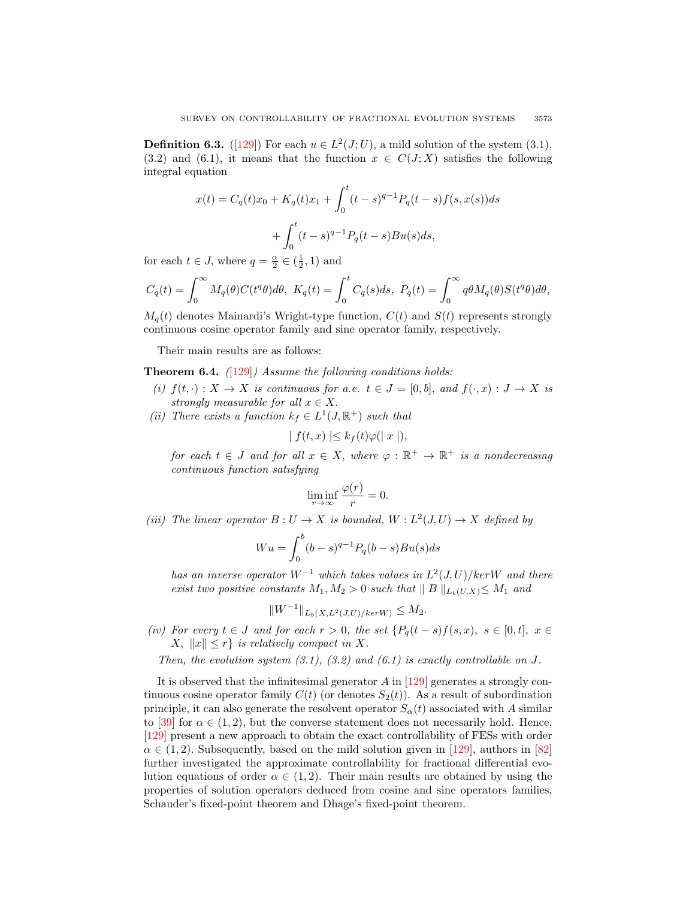**Definition 6.3.** ([\[129\]](#page-28-16)) For each  $u \in L^2(J;U)$ , a mild solution of the system (3.1), (3.2) and (6.1), it means that the function  $x \in C(J;X)$  satisfies the following integral equation

$$
x(t) = C_q(t)x_0 + K_q(t)x_1 + \int_0^t (t-s)^{q-1} P_q(t-s) f(s, x(s)) ds
$$

$$
+ \int_0^t (t-s)^{q-1} P_q(t-s) Bu(s) ds,
$$

for each  $t \in J$ , where  $q = \frac{\alpha}{2} \in (\frac{1}{2}, 1)$  and

$$
C_q(t) = \int_0^\infty M_q(\theta) C(t^q \theta) d\theta, \ K_q(t) = \int_0^t C_q(s) ds, \ P_q(t) = \int_0^\infty q \theta M_q(\theta) S(t^q \theta) d\theta,
$$

 $M_q(t)$  denotes Mainardi's Wright-type function,  $C(t)$  and  $S(t)$  represents strongly continuous cosine operator family and sine operator family, respectively.

Their main results are as follows:

**Theorem 6.4.**  $(129)$  *Assume the following conditions holds:* 

- (i)  $f(t, \cdot): X \to X$  is continuous for a.e.  $t \in J = [0, b]$ , and  $f(\cdot, x): J \to X$  is strongly measurable for all  $x \in X$ .
- (ii) There exists a function  $k_f \in L^1(J, \mathbb{R}^+)$  such that

$$
| f(t, x) | \leq k_f(t) \varphi(|x|),
$$

for each  $t \in J$  and for all  $x \in X$ , where  $\varphi : \mathbb{R}^+ \to \mathbb{R}^+$  is a nondecreasing continuous function satisfying

$$
\liminf_{r \to \infty} \frac{\varphi(r)}{r} = 0.
$$

(iii) The linear operator  $B: U \to X$  is bounded,  $W: L^2(J, U) \to X$  defined by

$$
Wu = \int_0^b (b-s)^{q-1} P_q(b-s)Bu(s)ds
$$

has an inverse operator  $W^{-1}$  which takes values in  $L^2(J, U)/kerW$  and there exist two positive constants  $M_1, M_2 > 0$  such that  $||B||_{L_b(U,X)} \leq M_1$  and

$$
||W^{-1}||_{L_b(X, L^2(J, U)/ker W)} \le M_2.
$$

(iv) For every  $t \in J$  and for each  $r > 0$ , the set  $\{P_q(t-s)f(s,x), s \in [0,t], x \in$  $X, \|x\| \leq r$  is relatively compact in X.

Then, the evolution system  $(3.1)$ ,  $(3.2)$  and  $(6.1)$  is exactly controllable on J.

It is observed that the infinitesimal generator  $A$  in  $[129]$  generates a strongly continuous cosine operator family  $C(t)$  (or denotes  $S_2(t)$ ). As a result of subordination principle, it can also generate the resolvent operator  $S_{\alpha}(t)$  associated with A similar to [\[39\]](#page-25-20) for  $\alpha \in (1, 2)$ , but the converse statement does not necessarily hold. Hence, [\[129\]](#page-28-16) present a new approach to obtain the exact controllability of FESs with order  $\alpha \in (1, 2)$ . Subsequently, based on the mild solution given in [\[129\]](#page-28-16), authors in [\[82\]](#page-27-19) further investigated the approximate controllability for fractional differential evolution equations of order  $\alpha \in (1, 2)$ . Their main results are obtained by using the properties of solution operators deduced from cosine and sine operators families, Schauder's fixed-point theorem and Dhage's fixed-point theorem.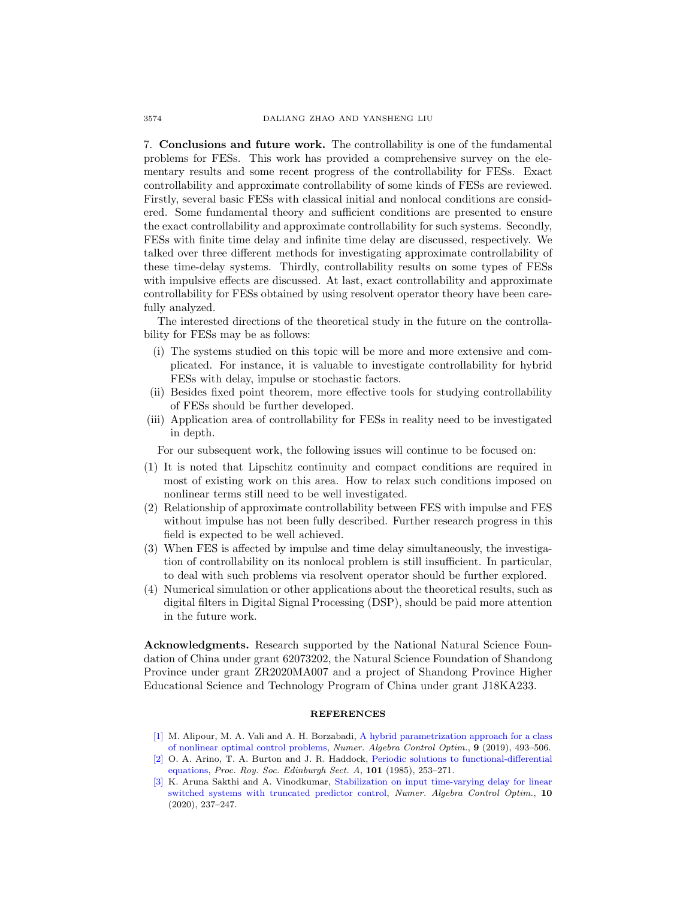7. Conclusions and future work. The controllability is one of the fundamental problems for FESs. This work has provided a comprehensive survey on the elementary results and some recent progress of the controllability for FESs. Exact controllability and approximate controllability of some kinds of FESs are reviewed. Firstly, several basic FESs with classical initial and nonlocal conditions are considered. Some fundamental theory and sufficient conditions are presented to ensure the exact controllability and approximate controllability for such systems. Secondly, FESs with finite time delay and infinite time delay are discussed, respectively. We talked over three different methods for investigating approximate controllability of these time-delay systems. Thirdly, controllability results on some types of FESs with impulsive effects are discussed. At last, exact controllability and approximate controllability for FESs obtained by using resolvent operator theory have been carefully analyzed.

The interested directions of the theoretical study in the future on the controllability for FESs may be as follows:

- (i) The systems studied on this topic will be more and more extensive and complicated. For instance, it is valuable to investigate controllability for hybrid FESs with delay, impulse or stochastic factors.
- (ii) Besides fixed point theorem, more effective tools for studying controllability of FESs should be further developed.
- (iii) Application area of controllability for FESs in reality need to be investigated in depth.

For our subsequent work, the following issues will continue to be focused on:

- (1) It is noted that Lipschitz continuity and compact conditions are required in most of existing work on this area. How to relax such conditions imposed on nonlinear terms still need to be well investigated.
- (2) Relationship of approximate controllability between FES with impulse and FES without impulse has not been fully described. Further research progress in this field is expected to be well achieved.
- (3) When FES is affected by impulse and time delay simultaneously, the investigation of controllability on its nonlocal problem is still insufficient. In particular, to deal with such problems via resolvent operator should be further explored.
- (4) Numerical simulation or other applications about the theoretical results, such as digital filters in Digital Signal Processing (DSP), should be paid more attention in the future work.

Acknowledgments. Research supported by the National Natural Science Foundation of China under grant 62073202, the Natural Science Foundation of Shandong Province under grant ZR2020MA007 and a project of Shandong Province Higher Educational Science and Technology Program of China under grant J18KA233.

## **REFERENCES**

- <span id="page-23-1"></span>[\[1\]](http://www.ams.org/mathscinet-getitem?mr=MR4043328&return=pdf) M. Alipour, M. A. Vali and A. H. Borzabadi, [A hybrid parametrization approach for a class](http://dx.doi.org/10.3934/naco.2019037) [of nonlinear optimal control problems,](http://dx.doi.org/10.3934/naco.2019037) Numer. Algebra Control Optim., 9 (2019), 493–506.
- <span id="page-23-2"></span>[\[2\]](http://www.ams.org/mathscinet-getitem?mr=MR824225&return=pdf) O. A. Arino, T. A. Burton and J. R. Haddock, [Periodic solutions to functional-differential](http://dx.doi.org/10.1017/S0308210500020813) [equations,](http://dx.doi.org/10.1017/S0308210500020813) Proc. Roy. Soc. Edinburgh Sect. A, 101 (1985), 253–271.
- <span id="page-23-0"></span>[\[3\]](http://www.ams.org/mathscinet-getitem?mr=MR4097745&return=pdf) K. Aruna Sakthi and A. Vinodkumar, [Stabilization on input time-varying delay for linear](http://dx.doi.org/10.3934/naco.2019050) [switched systems with truncated predictor control,](http://dx.doi.org/10.3934/naco.2019050) Numer. Algebra Control Optim., 10 (2020), 237–247.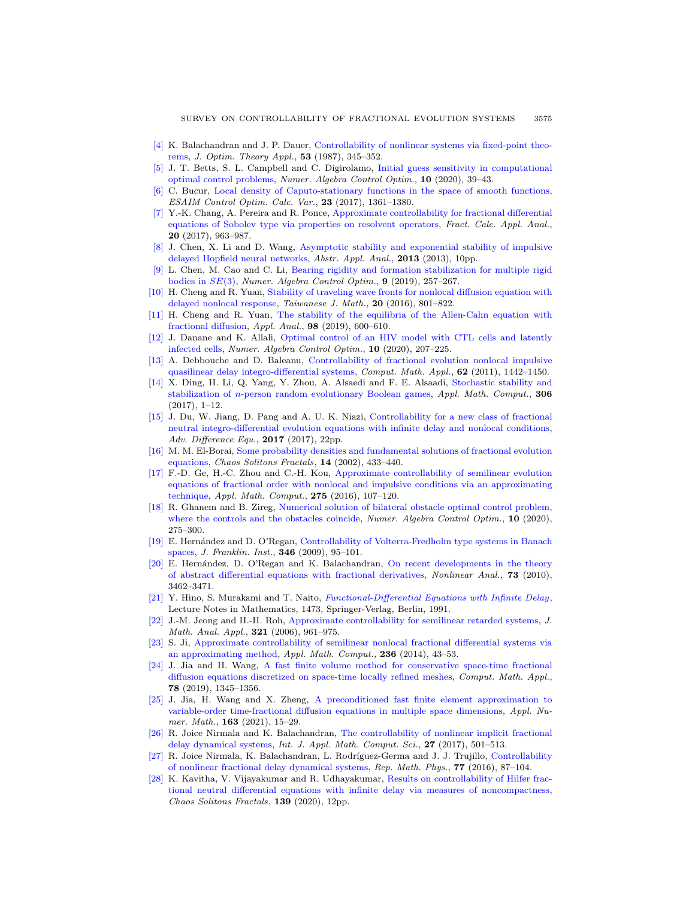- <span id="page-24-17"></span>[\[4\]](http://www.ams.org/mathscinet-getitem?mr=MR891093&return=pdf) K. Balachandran and J. P. Dauer, [Controllability of nonlinear systems via fixed-point theo](http://dx.doi.org/10.1007/BF00938943)[rems,](http://dx.doi.org/10.1007/BF00938943) J. Optim. Theory Appl., 53 (1987), 345–352.
- <span id="page-24-6"></span>[\[5\]](http://www.ams.org/mathscinet-getitem?mr=MR4155107&return=pdf) J. T. Betts, S. L. Campbell and C. Digirolamo, [Initial guess sensitivity in computational](http://dx.doi.org/10.3934/naco.2019031) [optimal control problems,](http://dx.doi.org/10.3934/naco.2019031) Numer. Algebra Control Optim., 10 (2020), 39–43.
- <span id="page-24-16"></span>[\[6\]](http://www.ams.org/mathscinet-getitem?mr=MR3716924&return=pdf) C. Bucur, [Local density of Caputo-stationary functions in the space of smooth functions,](http://dx.doi.org/10.1051/cocv/2016056) ESAIM Control Optim. Calc. Var., 23 (2017), 1361–1380.
- <span id="page-24-24"></span>[\[7\]](http://www.ams.org/mathscinet-getitem?mr=MR3684878&return=pdf) Y.-K. Chang, A. Pereira and R. Ponce, [Approximate controllability for fractional differential](http://dx.doi.org/10.1515/fca-2017-0050) [equations of Sobolev type via properties on resolvent operators,](http://dx.doi.org/10.1515/fca-2017-0050) Fract. Calc. Appl. Anal., 20 (2017), 963–987.
- <span id="page-24-3"></span>[\[8\]](http://www.ams.org/mathscinet-getitem?mr=MR3108623&return=pdf) J. Chen, X. Li and D. Wang, [Asymptotic stability and exponential stability of impulsive](http://dx.doi.org/10.1155/2013/638496) [delayed Hopfield neural networks,](http://dx.doi.org/10.1155/2013/638496) Abstr. Appl. Anal., 2013 (2013), 10pp.
- <span id="page-24-5"></span>[\[9\]](http://www.ams.org/mathscinet-getitem?mr=MR3985874&return=pdf) L. Chen, M. Cao and C. Li, [Bearing rigidity and formation stabilization for multiple rigid](http://dx.doi.org/10.3934/naco.2019017) [bodies in](http://dx.doi.org/10.3934/naco.2019017)  $SE(3)$ , Numer. Algebra Control Optim., 9 (2019), 257-267.
- <span id="page-24-14"></span>[\[10\]](http://www.ams.org/mathscinet-getitem?mr=MR3535675&return=pdf) H. Cheng and R. Yuan, [Stability of traveling wave fronts for nonlocal diffusion equation with](http://dx.doi.org/10.11650/tjm.20.2016.6284) [delayed nonlocal response,](http://dx.doi.org/10.11650/tjm.20.2016.6284) Taiwanese J. Math., 20 (2016), 801–822.
- <span id="page-24-1"></span>[\[11\]](http://www.ams.org/mathscinet-getitem?mr=MR3904562&return=pdf) H. Cheng and R. Yuan, [The stability of the equilibria of the Allen-Cahn equation with](http://dx.doi.org/10.1080/00036811.2017.1399360) [fractional diffusion,](http://dx.doi.org/10.1080/00036811.2017.1399360) Appl. Anal., 98 (2019), 600–610.
- <span id="page-24-7"></span>[\[12\]](http://www.ams.org/mathscinet-getitem?mr=MR4097743&return=pdf) J. Danane and K. Allali, [Optimal control of an HIV model with CTL cells and latently](http://dx.doi.org/10.3934/naco.2019048) [infected cells,](http://dx.doi.org/10.3934/naco.2019048) Numer. Algebra Control Optim., 10 (2020), 207–225.
- <span id="page-24-9"></span>[\[13\]](http://www.ams.org/mathscinet-getitem?mr=MR2824731&return=pdf) A. Debbouche and D. Baleanu, [Controllability of fractional evolution nonlocal impulsive](http://dx.doi.org/10.1016/j.camwa.2011.03.075) [quasilinear delay integro-differential systems,](http://dx.doi.org/10.1016/j.camwa.2011.03.075) Comput. Math. Appl., 62 (2011), 1442–1450.
- <span id="page-24-4"></span>[\[14\]](http://www.ams.org/mathscinet-getitem?mr=MR3627345&return=pdf) X. Ding, H. Li, Q. Yang, Y. Zhou, A. Alsaedi and F. E. Alsaadi, [Stochastic stability and](http://dx.doi.org/10.1016/j.amc.2017.02.020) stabilization of n[-person random evolutionary Boolean games,](http://dx.doi.org/10.1016/j.amc.2017.02.020) Appl. Math. Comput., 306 (2017), 1–12.
- <span id="page-24-13"></span>[\[15\]](http://www.ams.org/mathscinet-getitem?mr=MR3652572&return=pdf) J. Du, W. Jiang, D. Pang and A. U. K. Niazi, [Controllability for a new class of fractional](http://dx.doi.org/10.1186/s13662-017-1182-6) [neutral integro-differential evolution equations with infinite delay and nonlocal conditions,](http://dx.doi.org/10.1186/s13662-017-1182-6) Adv. Difference Equ., **2017** (2017), 22pp.
- <span id="page-24-20"></span>[\[16\]](http://www.ams.org/mathscinet-getitem?mr=MR1903295&return=pdf) M. M. El-Borai, [Some probability densities and fundamental solutions of fractional evolution](http://dx.doi.org/10.1016/S0960-0779(01)00208-9) [equations,](http://dx.doi.org/10.1016/S0960-0779(01)00208-9) Chaos Solitons Fractals, 14 (2002), 433–440.
- <span id="page-24-11"></span>[\[17\]](http://www.ams.org/mathscinet-getitem?mr=MR3437694&return=pdf) F.-D. Ge, H.-C. Zhou and C.-H. Kou, [Approximate controllability of semilinear evolution](http://dx.doi.org/10.1016/j.amc.2015.11.056) [equations of fractional order with nonlocal and impulsive conditions via an approximating](http://dx.doi.org/10.1016/j.amc.2015.11.056) [technique,](http://dx.doi.org/10.1016/j.amc.2015.11.056) Appl. Math. Comput., 275 (2016), 107-120.
- <span id="page-24-8"></span>[\[18\]](http://www.ams.org/mathscinet-getitem?mr=MR4128846&return=pdf) R. Ghanem and B. Zireg, [Numerical solution of bilateral obstacle optimal control problem,](http://dx.doi.org/10.3934/naco.2020002) [where the controls and the obstacles coincide,](http://dx.doi.org/10.3934/naco.2020002) Numer. Algebra Control Optim., 10 (2020), 275–300.
- <span id="page-24-21"></span>[\[19\]](http://www.ams.org/mathscinet-getitem?mr=MR2499965&return=pdf) E. Hern´andez and D. O'Regan, [Controllability of Volterra-Fredholm type systems in Banach](http://dx.doi.org/10.1016/j.jfranklin.2008.08.001) [spaces,](http://dx.doi.org/10.1016/j.jfranklin.2008.08.001) J. Franklin. Inst., 346 (2009), 95–101.
- <span id="page-24-19"></span>[\[20\]](http://www.ams.org/mathscinet-getitem?mr=MR2680040&return=pdf) E. Hernández, D. O'Regan and K. Balachandran, [On recent developments in the theory](http://dx.doi.org/10.1016/j.na.2010.07.035) [of abstract differential equations with fractional derivatives,](http://dx.doi.org/10.1016/j.na.2010.07.035) Nonlinear Anal., 73 (2010), 3462–3471.
- <span id="page-24-22"></span>[\[21\]](http://www.ams.org/mathscinet-getitem?mr=MR1122588&return=pdf) Y. Hino, S. Murakami and T. Naito, [Functional-Differential Equations with Infinite Delay](http://dx.doi.org/10.1007/BFb0084432), Lecture Notes in Mathematics, 1473, Springer-Verlag, Berlin, 1991.
- <span id="page-24-15"></span>[\[22\]](http://www.ams.org/mathscinet-getitem?mr=MR2241489&return=pdf) J.-M. Jeong and H.-H. Roh, [Approximate controllability for semilinear retarded systems,](http://dx.doi.org/10.1016/j.jmaa.2005.09.005) J. Math. Anal. Appl., 321 (2006), 961–975.
- <span id="page-24-10"></span>[\[23\]](http://www.ams.org/mathscinet-getitem?mr=MR3197705&return=pdf) S. Ji, [Approximate controllability of semilinear nonlocal fractional differential systems via](http://dx.doi.org/10.1016/j.amc.2014.03.027) [an approximating method,](http://dx.doi.org/10.1016/j.amc.2014.03.027) Appl. Math. Comput., 236 (2014), 43–53.
- <span id="page-24-0"></span>[\[24\]](http://www.ams.org/mathscinet-getitem?mr=MR3988036&return=pdf) J. Jia and H. Wang, [A fast finite volume method for conservative space-time fractional](http://dx.doi.org/10.1016/j.camwa.2019.04.003) [diffusion equations discretized on space-time locally refined meshes,](http://dx.doi.org/10.1016/j.camwa.2019.04.003) Comput. Math. Appl., 78 (2019), 1345–1356.
- <span id="page-24-2"></span>[\[25\]](http://www.ams.org/mathscinet-getitem?mr=MR4202525&return=pdf) J. Jia, H. Wang and X. Zheng, [A preconditioned fast finite element approximation to](http://dx.doi.org/10.1016/j.apnum.2021.01.001) [variable-order time-fractional diffusion equations in multiple space dimensions,](http://dx.doi.org/10.1016/j.apnum.2021.01.001) Appl. Numer. Math., **163** (2021), 15-29.
- <span id="page-24-12"></span>[\[26\]](http://www.ams.org/mathscinet-getitem?mr=MR3727034&return=pdf) R. Joice Nirmala and K. Balachandran, [The controllability of nonlinear implicit fractional](http://dx.doi.org/10.1515/amcs-2017-0035) [delay dynamical systems,](http://dx.doi.org/10.1515/amcs-2017-0035) Int. J. Appl. Math. Comput. Sci., 27 (2017), 501–513.
- <span id="page-24-18"></span>[\[27\]](http://www.ams.org/mathscinet-getitem?mr=MR3461800&return=pdf) R. Joice Nirmala, K. Balachandran, L. Rodríguez-Germa and J. J. Trujillo, [Controllability](http://dx.doi.org/10.1016/S0034-4877(16)30007-6) [of nonlinear fractional delay dynamical systems,](http://dx.doi.org/10.1016/S0034-4877(16)30007-6) Rep. Math. Phys., 77 (2016), 87–104.
- <span id="page-24-23"></span>[\[28\]](http://www.ams.org/mathscinet-getitem?mr=MR4117337&return=pdf) K. Kavitha, V. Vijayakumar and R. Udhayakumar, [Results on controllability of Hilfer frac](http://dx.doi.org/10.1016/j.chaos.2020.110035)[tional neutral differential equations with infinite delay via measures of noncompactness,](http://dx.doi.org/10.1016/j.chaos.2020.110035) Chaos Solitons Fractals, 139 (2020), 12pp.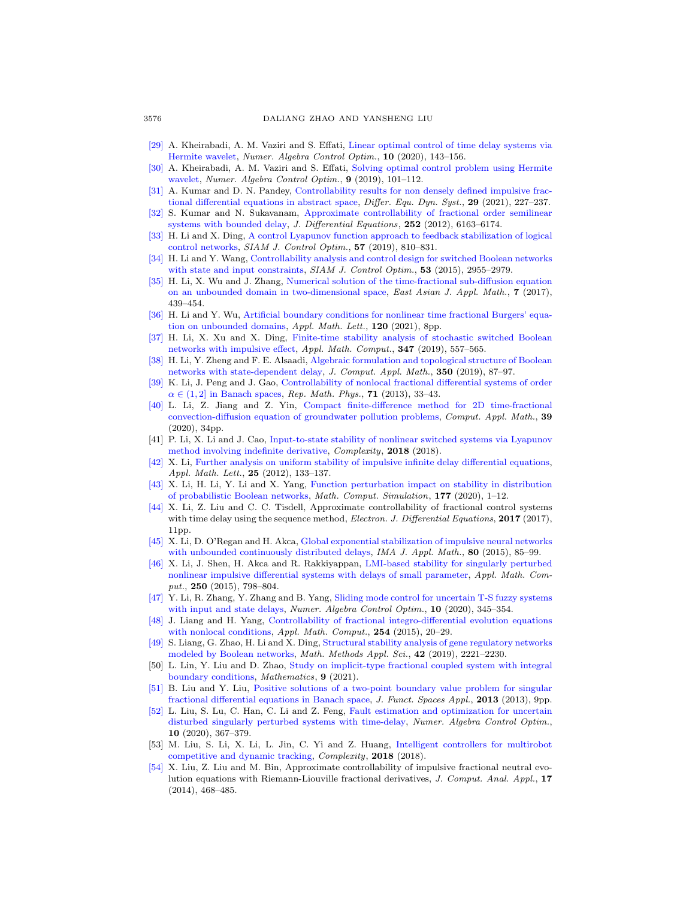- <span id="page-25-18"></span>[\[29\]](http://www.ams.org/mathscinet-getitem?mr=MR4097739&return=pdf) A. Kheirabadi, A. M. Vaziri and S. Effati, [Linear optimal control of time delay systems via](http://dx.doi.org/10.3934/naco.2019044) [Hermite wavelet,](http://dx.doi.org/10.3934/naco.2019044) Numer. Algebra Control Optim., 10 (2020), 143–156.
- <span id="page-25-17"></span>[\[30\]](http://www.ams.org/mathscinet-getitem?mr=MR3917497&return=pdf) A. Kheirabadi, A. M. Vaziri and S. Effati, [Solving optimal control problem using Hermite](http://dx.doi.org/10.3934/naco.2019008) [wavelet,](http://dx.doi.org/10.3934/naco.2019008) Numer. Algebra Control Optim., 9 (2019), 101-112.
- <span id="page-25-23"></span>[\[31\]](http://www.ams.org/mathscinet-getitem?mr=MR4217124&return=pdf) A. Kumar and D. N. Pandey, [Controllability results for non densely defined impulsive frac](http://dx.doi.org/10.1007/s12591-019-00471-1)[tional differential equations in abstract space,](http://dx.doi.org/10.1007/s12591-019-00471-1) Differ. Equ. Dyn. Syst., 29 (2021), 227-237.
- <span id="page-25-19"></span>[\[32\]](http://www.ams.org/mathscinet-getitem?mr=MR2911425&return=pdf) S. Kumar and N. Sukavanam, [Approximate controllability of fractional order semilinear](http://dx.doi.org/10.1016/j.jde.2012.02.014) [systems with bounded delay,](http://dx.doi.org/10.1016/j.jde.2012.02.014) J. Differential Equations, 252 (2012), 6163-6174.
- <span id="page-25-13"></span>[\[33\]](http://www.ams.org/mathscinet-getitem?mr=MR3920471&return=pdf) H. Li and X. Ding, [A control Lyapunov function approach to feedback stabilization of logical](http://dx.doi.org/10.1137/18M1170443) [control networks,](http://dx.doi.org/10.1137/18M1170443) SIAM J. Control Optim., 57 (2019), 810–831.
- <span id="page-25-14"></span>[\[34\]](http://www.ams.org/mathscinet-getitem?mr=MR3396386&return=pdf) H. Li and Y. Wang, [Controllability analysis and control design for switched Boolean networks](http://dx.doi.org/10.1137/120902331) [with state and input constraints,](http://dx.doi.org/10.1137/120902331)  $SIAM$  J. Control Optim., 53 (2015), 2955–2979.
- <span id="page-25-3"></span>[\[35\]](http://www.ams.org/mathscinet-getitem?mr=MR3708984&return=pdf) H. Li, X. Wu and J. Zhang, [Numerical solution of the time-fractional sub-diffusion equation](http://dx.doi.org/10.4208/eajam.031116.080317a) [on an unbounded domain in two-dimensional space,](http://dx.doi.org/10.4208/eajam.031116.080317a) East Asian J. Appl. Math., 7 (2017), 439–454.
- <span id="page-25-0"></span>[\[36\]](http://www.ams.org/mathscinet-getitem?mr=MR4244599&return=pdf) H. Li and Y. Wu, [Artificial boundary conditions for nonlinear time fractional Burgers' equa](http://dx.doi.org/10.1016/j.aml.2021.107277)[tion on unbounded domains,](http://dx.doi.org/10.1016/j.aml.2021.107277) Appl. Math. Lett., 120 (2021), 8pp.
- <span id="page-25-5"></span>[\[37\]](http://www.ams.org/mathscinet-getitem?mr=MR3881157&return=pdf) H. Li, X. Xu and X. Ding, [Finite-time stability analysis of stochastic switched Boolean](http://dx.doi.org/10.1016/j.amc.2018.11.018) [networks with impulsive effect,](http://dx.doi.org/10.1016/j.amc.2018.11.018) Appl. Math. Comput., 347 (2019), 557–565.
- <span id="page-25-7"></span>[\[38\]](http://www.ams.org/mathscinet-getitem?mr=MR3872804&return=pdf) H. Li, Y. Zheng and F. E. Alsaadi, [Algebraic formulation and topological structure of Boolean](http://dx.doi.org/10.1016/j.cam.2018.10.003) [networks with state-dependent delay,](http://dx.doi.org/10.1016/j.cam.2018.10.003) J. Comput. Appl. Math., 350 (2019), 87–97.
- <span id="page-25-20"></span>[\[39\]](http://www.ams.org/mathscinet-getitem?mr=MR3035099&return=pdf) K. Li, J. Peng and J. Gao, [Controllability of nonlocal fractional differential systems of order](http://dx.doi.org/10.1016/S0034-4877(13)60020-8)  $\alpha \in (1, 2]$  in Banach spaces, Rep. Math. Phys., 71 (2013), 33-43.
- <span id="page-25-1"></span>[\[40\]](http://www.ams.org/mathscinet-getitem?mr=MR4101531&return=pdf) L. Li, Z. Jiang and Z. Yin, [Compact finite-difference method for 2D time-fractional](http://dx.doi.org/10.1007/s40314-020-01169-9) [convection-diffusion equation of groundwater pollution problems,](http://dx.doi.org/10.1007/s40314-020-01169-9) Comput. Appl. Math., 39 (2020), 34pp.
- <span id="page-25-10"></span>[41] P. Li, X. Li and J. Cao, [Input-to-state stability of nonlinear switched systems via Lyapunov](http://dx.doi.org/10.1155/2018/8701219) [method involving indefinite derivative,](http://dx.doi.org/10.1155/2018/8701219) Complexity, 2018 (2018).
- <span id="page-25-11"></span>[\[42\]](http://www.ams.org/mathscinet-getitem?mr=MR2843740&return=pdf) X. Li, [Further analysis on uniform stability of impulsive infinite delay differential equations,](http://dx.doi.org/10.1016/j.aml.2011.08.001) Appl. Math. Lett., 25 (2012), 133–137.
- <span id="page-25-12"></span>[\[43\]](http://www.ams.org/mathscinet-getitem?mr=MR4092390&return=pdf) X. Li, H. Li, Y. Li and X. Yang, [Function perturbation impact on stability in distribution](http://dx.doi.org/10.1016/j.matcom.2020.04.008) [of probabilistic Boolean networks,](http://dx.doi.org/10.1016/j.matcom.2020.04.008) *Math. Comput. Simulation*, **177** (2020), 1–12.
- <span id="page-25-24"></span>[\[44\]](http://www.ams.org/mathscinet-getitem?mr=MR3723545&return=pdf) X. Li, Z. Liu and C. C. Tisdell, Approximate controllability of fractional control systems with time delay using the sequence method, *Electron. J. Differential Equations*, **2017** (2017), 11pp.
- <span id="page-25-15"></span>[\[45\]](http://www.ams.org/mathscinet-getitem?mr=MR3335151&return=pdf) X. Li, D. O'Regan and H. Akca, [Global exponential stabilization of impulsive neural networks](http://dx.doi.org/10.1093/imamat/hxt027) [with unbounded continuously distributed delays,](http://dx.doi.org/10.1093/imamat/hxt027) IMA J. Appl. Math.,  $80$  (2015), 85–99.
- <span id="page-25-6"></span>[\[46\]](http://www.ams.org/mathscinet-getitem?mr=MR3285583&return=pdf) X. Li, J. Shen, H. Akca and R. Rakkiyappan, [LMI-based stability for singularly perturbed](http://dx.doi.org/10.1016/j.amc.2014.10.113) [nonlinear impulsive differential systems with delays of small parameter,](http://dx.doi.org/10.1016/j.amc.2014.10.113) Appl. Math. Comput., 250 (2015), 798-804.
- <span id="page-25-8"></span>[\[47\]](http://www.ams.org/mathscinet-getitem?mr=MR4128850&return=pdf) Y. Li, R. Zhang, Y. Zhang and B. Yang, [Sliding mode control for uncertain T-S fuzzy systems](http://dx.doi.org/10.3934/naco.2020006) [with input and state delays,](http://dx.doi.org/10.3934/naco.2020006) Numer. Algebra Control Optim., 10 (2020), 345-354.
- <span id="page-25-21"></span>[\[48\]](http://www.ams.org/mathscinet-getitem?mr=MR3314431&return=pdf) J. Liang and H. Yang, [Controllability of fractional integro-differential evolution equations](http://dx.doi.org/10.1016/j.amc.2014.12.145) [with nonlocal conditions,](http://dx.doi.org/10.1016/j.amc.2014.12.145) Appl. Math. Comput., 254 (2015), 20-29.
- <span id="page-25-9"></span>[\[49\]](http://www.ams.org/mathscinet-getitem?mr=MR3936395&return=pdf) S. Liang, G. Zhao, H. Li and X. Ding, [Structural stability analysis of gene regulatory networks](http://dx.doi.org/10.1002/mma.5488) [modeled by Boolean networks,](http://dx.doi.org/10.1002/mma.5488) Math. Methods Appl. Sci., 42 (2019), 2221–2230.
- <span id="page-25-4"></span>[50] L. Lin, Y. Liu and D. Zhao, [Study on implicit-type fractional coupled system with integral](http://dx.doi.org/10.3390/math9040300) [boundary conditions,](http://dx.doi.org/10.3390/math9040300) Mathematics, 9 (2021).
- <span id="page-25-2"></span>[\[51\]](http://www.ams.org/mathscinet-getitem?mr=MR3090887&return=pdf) B. Liu and Y. Liu, [Positive solutions of a two-point boundary value problem for singular](http://dx.doi.org/10.1155/2013/585639) [fractional differential equations in Banach space,](http://dx.doi.org/10.1155/2013/585639) J. Funct. Spaces Appl., 2013 (2013), 9pp.
- <span id="page-25-22"></span>[\[52\]](http://www.ams.org/mathscinet-getitem?mr=MR4128852&return=pdf) L. Liu, S. Lu, C. Han, C. Li and Z. Feng, [Fault estimation and optimization for uncertain](http://dx.doi.org/10.3934/naco.2020008) [disturbed singularly perturbed systems with time-delay,](http://dx.doi.org/10.3934/naco.2020008) Numer. Algebra Control Optim., 10 (2020), 367–379.
- <span id="page-25-16"></span>[53] M. Liu, S. Li, X. Li, L. Jin, C. Yi and Z. Huang, [Intelligent controllers for multirobot](http://dx.doi.org/10.1155/2018/4573631) [competitive and dynamic tracking,](http://dx.doi.org/10.1155/2018/4573631) Complexity, 2018 (2018).
- <span id="page-25-25"></span>[\[54\]](http://www.ams.org/mathscinet-getitem?mr=MR3134650&return=pdf) X. Liu, Z. Liu and M. Bin, Approximate controllability of impulsive fractional neutral evolution equations with Riemann-Liouville fractional derivatives, J. Comput. Anal. Appl., 17 (2014), 468–485.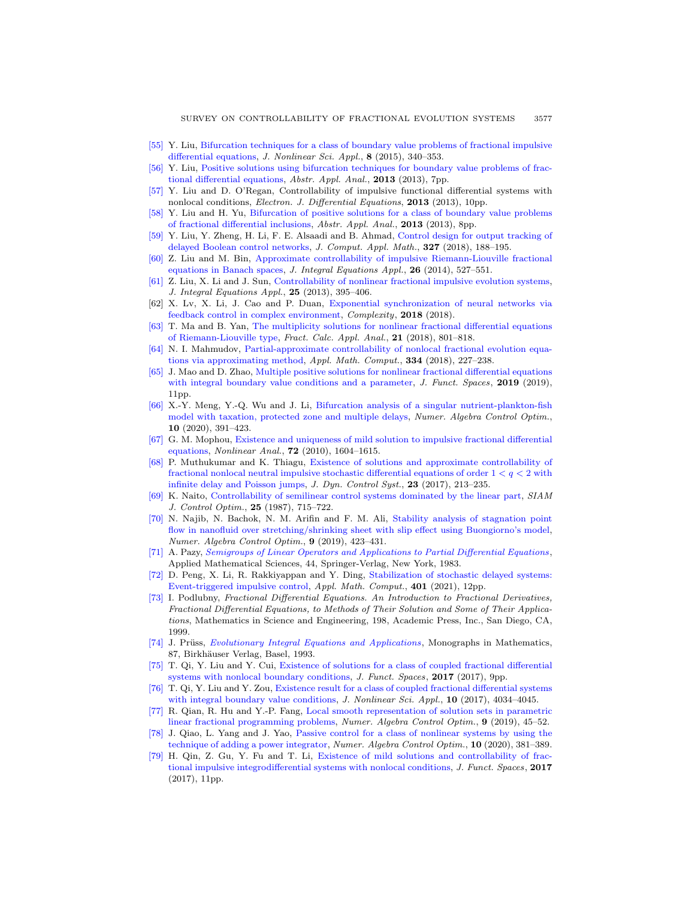- <span id="page-26-15"></span>[\[55\]](http://www.ams.org/mathscinet-getitem?mr=MR3335722&return=pdf) Y. Liu, [Bifurcation techniques for a class of boundary value problems of fractional impulsive](http://dx.doi.org/10.22436/jnsa.008.04.07) [differential equations,](http://dx.doi.org/10.22436/jnsa.008.04.07) J. Nonlinear Sci. Appl., 8 (2015), 340–353.
- <span id="page-26-0"></span>[\[56\]](http://www.ams.org/mathscinet-getitem?mr=MR3129344&return=pdf) Y. Liu, [Positive solutions using bifurcation techniques for boundary value problems of frac](http://dx.doi.org/10.1155/2013/162418)[tional differential equations,](http://dx.doi.org/10.1155/2013/162418) Abstr. Appl. Anal., 2013 (2013), 7pp.
- <span id="page-26-12"></span>[\[57\]](http://www.ams.org/mathscinet-getitem?mr=MR3104970&return=pdf) Y. Liu and D. O'Regan, Controllability of impulsive functional differential systems with nonlocal conditions, *Electron. J. Differential Equations*, **2013** (2013), 10pp.
- [\[58\]](http://www.ams.org/mathscinet-getitem?mr=MR3039144&return=pdf) Y. Liu and H. Yu, [Bifurcation of positive solutions for a class of boundary value problems](http://dx.doi.org/10.1155/2013/942831) [of fractional differential inclusions,](http://dx.doi.org/10.1155/2013/942831) Abstr. Appl. Anal., 2013 (2013), 8pp.
- <span id="page-26-13"></span>[\[59\]](http://www.ams.org/mathscinet-getitem?mr=MR3683154&return=pdf) Y. Liu, Y. Zheng, H. Li, F. E. Alsaadi and B. Ahmad, [Control design for output tracking of](http://dx.doi.org/10.1016/j.cam.2017.06.016) [delayed Boolean control networks,](http://dx.doi.org/10.1016/j.cam.2017.06.016) J. Comput. Appl. Math., 327 (2018), 188–195.
- <span id="page-26-18"></span>[\[60\]](http://www.ams.org/mathscinet-getitem?mr=MR3299830&return=pdf) Z. Liu and M. Bin, [Approximate controllability of impulsive Riemann-Liouville fractional](http://dx.doi.org/10.1216/JIE-2014-26-4-527) [equations in Banach spaces,](http://dx.doi.org/10.1216/JIE-2014-26-4-527) J. Integral Equations Appl., 26 (2014), 527-551.
- <span id="page-26-10"></span>[\[61\]](http://www.ams.org/mathscinet-getitem?mr=MR3161619&return=pdf) Z. Liu, X. Li and J. Sun, [Controllability of nonlinear fractional impulsive evolution systems,](http://dx.doi.org/10.1216/JIE-2013-25-3-395) J. Integral Equations Appl., 25 (2013), 395–406.
- <span id="page-26-8"></span>[62] X. Lv, X. Li, J. Cao and P. Duan, [Exponential synchronization of neural networks via](http://dx.doi.org/10.1155/2018/4352714) [feedback control in complex environment,](http://dx.doi.org/10.1155/2018/4352714) Complexity, 2018 (2018).
- <span id="page-26-1"></span>[\[63\]](http://www.ams.org/mathscinet-getitem?mr=MR3827155&return=pdf) T. Ma and B. Yan, [The multiplicity solutions for nonlinear fractional differential equations](http://dx.doi.org/10.1515/fca-2018-0042) [of Riemann-Liouville type,](http://dx.doi.org/10.1515/fca-2018-0042) Fract. Calc. Appl. Anal., 21 (2018), 801–818.
- <span id="page-26-20"></span>[\[64\]](http://www.ams.org/mathscinet-getitem?mr=MR3804507&return=pdf) N. I. Mahmudov, [Partial-approximate controllability of nonlocal fractional evolution equa](http://dx.doi.org/10.1016/j.amc.2018.03.116)[tions via approximating method,](http://dx.doi.org/10.1016/j.amc.2018.03.116) Appl. Math. Comput., 334 (2018), 227–238.
- <span id="page-26-3"></span>[\[65\]](http://www.ams.org/mathscinet-getitem?mr=MR3949349&return=pdf) J. Mao and D. Zhao, [Multiple positive solutions for nonlinear fractional differential equations](http://dx.doi.org/10.1155/2019/2787569) [with integral boundary value conditions and a parameter,](http://dx.doi.org/10.1155/2019/2787569)  $J.$  Funct. Spaces, 2019 (2019), 11pp.
- <span id="page-26-14"></span>[\[66\]](http://www.ams.org/mathscinet-getitem?mr=MR4128854&return=pdf) X.-Y. Meng, Y.-Q. Wu and J. Li, [Bifurcation analysis of a singular nutrient-plankton-fish](http://dx.doi.org/10.3934/naco.2020010) [model with taxation, protected zone and multiple delays,](http://dx.doi.org/10.3934/naco.2020010) Numer. Algebra Control Optim., 10 (2020), 391–423.
- <span id="page-26-22"></span>[\[67\]](http://www.ams.org/mathscinet-getitem?mr=MR2577561&return=pdf) G. M. Mophou, [Existence and uniqueness of mild solution to impulsive fractional differential](http://dx.doi.org/10.1016/j.na.2009.08.046) [equations,](http://dx.doi.org/10.1016/j.na.2009.08.046) Nonlinear Anal., 72 (2010), 1604–1615.
- <span id="page-26-11"></span>[\[68\]](http://www.ams.org/mathscinet-getitem?mr=MR3624992&return=pdf) P. Muthukumar and K. Thiagu, [Existence of solutions and approximate controllability of](http://dx.doi.org/10.1007/s10883-015-9309-0) fractional nonlocal neutral impulsive stochastic differential equations of order  $1 < q < 2$  with [infinite delay and Poisson jumps,](http://dx.doi.org/10.1007/s10883-015-9309-0) J. Dyn. Control Syst., 23 (2017), 213–235.
- <span id="page-26-19"></span>[\[69\]](http://www.ams.org/mathscinet-getitem?mr=MR885194&return=pdf) K. Naito, [Controllability of semilinear control systems dominated by the linear part,](http://dx.doi.org/10.1137/0325040) SIAM J. Control Optim., 25 (1987), 715–722.
- <span id="page-26-9"></span>[\[70\]](http://www.ams.org/mathscinet-getitem?mr=MR4043323&return=pdf) N. Najib, N. Bachok, N. M. Arifin and F. M. Ali, [Stability analysis of stagnation point](http://dx.doi.org/10.3934/naco.2019041) [flow in nanofluid over stretching/shrinking sheet with slip effect using Buongiorno's model,](http://dx.doi.org/10.3934/naco.2019041) Numer. Algebra Control Optim., 9 (2019), 423–431.
- <span id="page-26-21"></span>[\[71\]](http://www.ams.org/mathscinet-getitem?mr=MR710486&return=pdf) A. Pazy, [Semigroups of Linear Operators and Applications to Partial Differential Equations](http://dx.doi.org/10.1007/978-1-4612-5561-1), Applied Mathematical Sciences, 44, Springer-Verlag, New York, 1983.
- <span id="page-26-7"></span>[\[72\]](http://www.ams.org/mathscinet-getitem?mr=MR4219890&return=pdf) D. Peng, X. Li, R. Rakkiyappan and Y. Ding, [Stabilization of stochastic delayed systems:](http://dx.doi.org/10.1016/j.amc.2021.126054) [Event-triggered impulsive control,](http://dx.doi.org/10.1016/j.amc.2021.126054) Appl. Math. Comput., 401 (2021), 12pp.
- <span id="page-26-16"></span>[\[73\]](http://www.ams.org/mathscinet-getitem?mr=MR1658022&return=pdf) I. Podlubny, Fractional Differential Equations. An Introduction to Fractional Derivatives, Fractional Differential Equations, to Methods of Their Solution and Some of Their Applications, Mathematics in Science and Engineering, 198, Academic Press, Inc., San Diego, CA, 1999.
- <span id="page-26-17"></span>[\[74\]](http://www.ams.org/mathscinet-getitem?mr=MR1238939&return=pdf) J. Prüss, [Evolutionary Integral Equations and Applications](http://dx.doi.org/10.1007/978-3-0348-8570-6), Monographs in Mathematics, 87, Birkhäuser Verlag, Basel, 1993.
- <span id="page-26-2"></span>[\[75\]](http://www.ams.org/mathscinet-getitem?mr=MR3672060&return=pdf) T. Qi, Y. Liu and Y. Cui, [Existence of solutions for a class of coupled fractional differential](http://dx.doi.org/10.1155/2017/6703860) [systems with nonlocal boundary conditions,](http://dx.doi.org/10.1155/2017/6703860) J. Funct. Spaces, 2017 (2017), 9pp.
- <span id="page-26-4"></span>[\[76\]](http://www.ams.org/mathscinet-getitem?mr=MR3687618&return=pdf) T. Qi, Y. Liu and Y. Zou, [Existence result for a class of coupled fractional differential systems](http://dx.doi.org/10.22436/jnsa.010.07.52) [with integral boundary value conditions,](http://dx.doi.org/10.22436/jnsa.010.07.52) J. Nonlinear Sci. Appl., 10 (2017), 4034-4045.
- <span id="page-26-5"></span>[\[77\]](http://www.ams.org/mathscinet-getitem?mr=MR3917493&return=pdf) R. Qian, R. Hu and Y.-P. Fang, [Local smooth representation of solution sets in parametric](http://dx.doi.org/10.3934/naco.2019004) [linear fractional programming problems,](http://dx.doi.org/10.3934/naco.2019004) Numer. Algebra Control Optim., 9 (2019), 45–52.
- <span id="page-26-6"></span>[\[78\]](http://www.ams.org/mathscinet-getitem?mr=MR4128853&return=pdf) J. Qiao, L. Yang and J. Yao, [Passive control for a class of nonlinear systems by using the](http://dx.doi.org/10.3934/naco.2020009) [technique of adding a power integrator,](http://dx.doi.org/10.3934/naco.2020009) Numer. Algebra Control Optim., 10 (2020), 381–389.
- <span id="page-26-23"></span>[\[79\]](http://www.ams.org/mathscinet-getitem?mr=MR3707679&return=pdf) H. Qin, Z. Gu, Y. Fu and T. Li, [Existence of mild solutions and controllability of frac](http://dx.doi.org/10.1155/2017/6979571)[tional impulsive integrodifferential systems with nonlocal conditions,](http://dx.doi.org/10.1155/2017/6979571) J. Funct. Spaces, 2017 (2017), 11pp.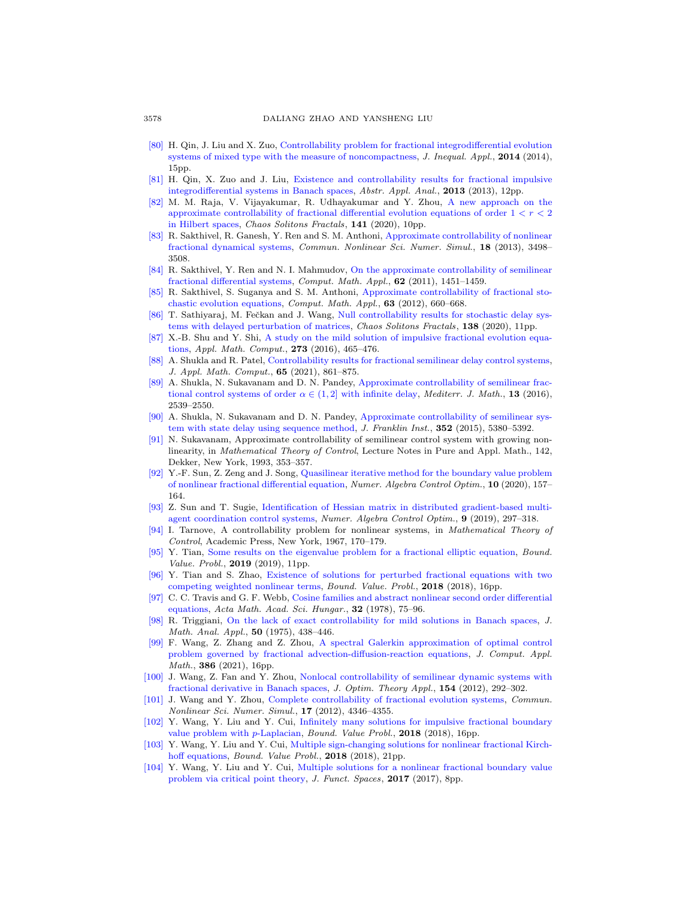- <span id="page-27-14"></span>[\[80\]](http://www.ams.org/mathscinet-getitem?mr=MR3348607&return=pdf) H. Qin, J. Liu and X. Zuo, [Controllability problem for fractional integrodifferential evolution](http://dx.doi.org/10.1186/1029-242X-2014-292) [systems of mixed type with the measure of noncompactness,](http://dx.doi.org/10.1186/1029-242X-2014-292) J. Inequal. Appl., 2014 (2014), 15pp.
- <span id="page-27-24"></span>[\[81\]](http://www.ams.org/mathscinet-getitem?mr=MR3064547&return=pdf) H. Qin, X. Zuo and J. Liu, [Existence and controllability results for fractional impulsive](http://dx.doi.org/10.1155/2013/295837) [integrodifferential systems in Banach spaces,](http://dx.doi.org/10.1155/2013/295837) Abstr. Appl. Anal., 2013 (2013), 12pp.
- <span id="page-27-19"></span>[\[82\]](http://www.ams.org/mathscinet-getitem?mr=MR4156895&return=pdf) M. M. Raja, V. Vijayakumar, R. Udhayakumar and Y. Zhou, [A new approach on the](http://dx.doi.org/10.1016/j.chaos.2020.110310) approximate controllability of fractional differential evolution equations of order  $1 < r < 2$ [in Hilbert spaces,](http://dx.doi.org/10.1016/j.chaos.2020.110310) Chaos Solitons Fractals, 141 (2020), 10pp.
- <span id="page-27-20"></span>[\[83\]](http://www.ams.org/mathscinet-getitem?mr=MR3081379&return=pdf) R. Sakthivel, R. Ganesh, Y. Ren and S. M. Anthoni, [Approximate controllability of nonlinear](http://dx.doi.org/10.1016/j.cnsns.2013.05.015) [fractional dynamical systems,](http://dx.doi.org/10.1016/j.cnsns.2013.05.015) Commun. Nonlinear Sci. Numer. Simul., 18 (2013), 3498– 3508.
- <span id="page-27-21"></span>[\[84\]](http://www.ams.org/mathscinet-getitem?mr=MR2824732&return=pdf) R. Sakthivel, Y. Ren and N. I. Mahmudov, [On the approximate controllability of semilinear](http://dx.doi.org/10.1016/j.camwa.2011.04.040) [fractional differential systems,](http://dx.doi.org/10.1016/j.camwa.2011.04.040) Comput. Math. Appl., 62 (2011), 1451-1459.
- <span id="page-27-16"></span>[\[85\]](http://www.ams.org/mathscinet-getitem?mr=MR2871665&return=pdf) R. Sakthivel, S. Suganya and S. M. Anthoni, [Approximate controllability of fractional sto](http://dx.doi.org/10.1016/j.camwa.2011.11.024)[chastic evolution equations,](http://dx.doi.org/10.1016/j.camwa.2011.11.024) Comput. Math. Appl., 63 (2012), 660–668.
- <span id="page-27-11"></span>[\[86\]](http://www.ams.org/mathscinet-getitem?mr=MR4114111&return=pdf) T. Sathiyaraj, M. Fečkan and J. Wang, [Null controllability results for stochastic delay sys](http://dx.doi.org/10.1016/j.chaos.2020.109927)[tems with delayed perturbation of matrices,](http://dx.doi.org/10.1016/j.chaos.2020.109927) Chaos Solitons Fractals, 138 (2020), 11pp.
- <span id="page-27-10"></span>[\[87\]](http://www.ams.org/mathscinet-getitem?mr=MR3427767&return=pdf) X.-B. Shu and Y. Shi, [A study on the mild solution of impulsive fractional evolution equa](http://dx.doi.org/10.1016/j.amc.2015.10.020)[tions,](http://dx.doi.org/10.1016/j.amc.2015.10.020) Appl. Math. Comput., 273 (2016), 465–476.
- <span id="page-27-22"></span>[\[88\]](http://www.ams.org/mathscinet-getitem?mr=MR4208190&return=pdf) A. Shukla and R. Patel, [Controllability results for fractional semilinear delay control systems,](http://dx.doi.org/10.1007/s12190-020-01418-4) J. Appl. Math. Comput., 65 (2021), 861–875.
- <span id="page-27-18"></span>[\[89\]](http://www.ams.org/mathscinet-getitem?mr=MR3554260&return=pdf) A. Shukla, N. Sukavanam and D. N. Pandey, [Approximate controllability of semilinear frac](http://dx.doi.org/10.1007/s00009-015-0638-8)[tional control systems of order](http://dx.doi.org/10.1007/s00009-015-0638-8)  $\alpha \in (1,2]$  with infinite delay, *Mediterr. J. Math.*, **13** (2016), 2539–2550.
- <span id="page-27-17"></span>[\[90\]](http://www.ams.org/mathscinet-getitem?mr=MR3416770&return=pdf) A. Shukla, N. Sukavanam and D. N. Pandey, [Approximate controllability of semilinear sys](http://dx.doi.org/10.1016/j.jfranklin.2015.08.019)[tem with state delay using sequence method,](http://dx.doi.org/10.1016/j.jfranklin.2015.08.019) J. Franklin Inst., 352 (2015), 5380–5392.
- <span id="page-27-23"></span>[\[91\]](http://www.ams.org/mathscinet-getitem?mr=MR1198716&return=pdf) N. Sukavanam, Approximate controllability of semilinear control system with growing nonlinearity, in Mathematical Theory of Control, Lecture Notes in Pure and Appl. Math., 142, Dekker, New York, 1993, 353–357.
- <span id="page-27-2"></span>[\[92\]](http://www.ams.org/mathscinet-getitem?mr=MR4097740&return=pdf) Y.-F. Sun, Z. Zeng and J. Song, [Quasilinear iterative method for the boundary value problem](http://dx.doi.org/10.3934/naco.2019045) [of nonlinear fractional differential equation,](http://dx.doi.org/10.3934/naco.2019045) Numer. Algebra Control Optim., 10 (2020), 157– 164.
- <span id="page-27-7"></span>[\[93\]](http://www.ams.org/mathscinet-getitem?mr=MR3985877&return=pdf) Z. Sun and T. Sugie, [Identification of Hessian matrix in distributed gradient-based multi](http://dx.doi.org/10.3934/naco.2019020)[agent coordination control systems,](http://dx.doi.org/10.3934/naco.2019020) Numer. Algebra Control Optim., 9 (2019), 297–318.
- <span id="page-27-8"></span>[\[94\]](http://www.ams.org/mathscinet-getitem?mr=MR0249786&return=pdf) I. Tarnove, A controllability problem for nonlinear systems, in Mathematical Theory of Control, Academic Press, New York, 1967, 170–179.
- <span id="page-27-4"></span>[\[95\]](http://www.ams.org/mathscinet-getitem?mr=MR3902105&return=pdf) Y. Tian, [Some results on the eigenvalue problem for a fractional elliptic equation,](http://dx.doi.org/10.1186/s13661-019-1127-y) Bound. Value. Probl., 2019 (2019), 11pp.
- <span id="page-27-0"></span>[\[96\]](http://www.ams.org/mathscinet-getitem?mr=MR3860223&return=pdf) Y. Tian and S. Zhao, [Existence of solutions for perturbed fractional equations with two](http://dx.doi.org/10.1186/s13661-018-1074-z) [competing weighted nonlinear terms,](http://dx.doi.org/10.1186/s13661-018-1074-z) Bound. Value. Probl., 2018 (2018), 16pp.
- <span id="page-27-12"></span>[\[97\]](http://www.ams.org/mathscinet-getitem?mr=MR499581&return=pdf) C. C. Travis and G. F. Webb, [Cosine families and abstract nonlinear second order differential](http://dx.doi.org/10.1007/BF01902205) [equations,](http://dx.doi.org/10.1007/BF01902205) Acta Math. Acad. Sci. Hungar., 32 (1978), 75-96.
- <span id="page-27-15"></span>[\[98\]](http://www.ams.org/mathscinet-getitem?mr=MR380590&return=pdf) R. Triggiani, [On the lack of exact controllability for mild solutions in Banach spaces,](http://dx.doi.org/10.1016/0022-247X(75)90033-5) J. Math. Anal. Appl., 50 (1975), 438–446.
- <span id="page-27-3"></span>[\[99\]](http://www.ams.org/mathscinet-getitem?mr=MR4163093&return=pdf) F. Wang, Z. Zhang and Z. Zhou, [A spectral Galerkin approximation of optimal control](http://dx.doi.org/10.1016/j.cam.2020.113233) [problem governed by fractional advection-diffusion-reaction equations,](http://dx.doi.org/10.1016/j.cam.2020.113233) J. Comput. Appl. Math., 386 (2021), 16pp.
- <span id="page-27-13"></span>[\[100\]](http://www.ams.org/mathscinet-getitem?mr=MR2931380&return=pdf) J. Wang, Z. Fan and Y. Zhou, [Nonlocal controllability of semilinear dynamic systems with](http://dx.doi.org/10.1007/s10957-012-9999-3) [fractional derivative in Banach spaces,](http://dx.doi.org/10.1007/s10957-012-9999-3) J. Optim. Theory Appl., 154 (2012), 292–302.
- <span id="page-27-9"></span>[\[101\]](http://www.ams.org/mathscinet-getitem?mr=MR2930338&return=pdf) J. Wang and Y. Zhou, [Complete controllability of fractional evolution systems,](http://dx.doi.org/10.1016/j.cnsns.2012.02.029) Commun. Nonlinear Sci. Numer. Simul., 17 (2012), 4346–4355.
- <span id="page-27-1"></span>[\[102\]](http://www.ams.org/mathscinet-getitem?mr=MR3814794&return=pdf) Y. Wang, Y. Liu and Y. Cui, [Infinitely many solutions for impulsive fractional boundary](http://dx.doi.org/10.1186/s13661-018-1012-0) [value problem with](http://dx.doi.org/10.1186/s13661-018-1012-0) p-Laplacian, Bound. Value Probl., 2018 (2018), 16pp.
- <span id="page-27-5"></span>[\[103\]](http://www.ams.org/mathscinet-getitem?mr=MR3894604&return=pdf) Y. Wang, Y. Liu and Y. Cui, [Multiple sign-changing solutions for nonlinear fractional Kirch](http://dx.doi.org/10.1186/s13661-018-1114-8)[hoff equations,](http://dx.doi.org/10.1186/s13661-018-1114-8) Bound. Value Probl., 2018 (2018), 21pp.
- <span id="page-27-6"></span>[\[104\]](http://www.ams.org/mathscinet-getitem?mr=MR3729695&return=pdf) Y. Wang, Y. Liu and Y. Cui, [Multiple solutions for a nonlinear fractional boundary value](http://dx.doi.org/10.1155/2017/8548975) [problem via critical point theory,](http://dx.doi.org/10.1155/2017/8548975) J. Funct. Spaces, 2017 (2017), 8pp.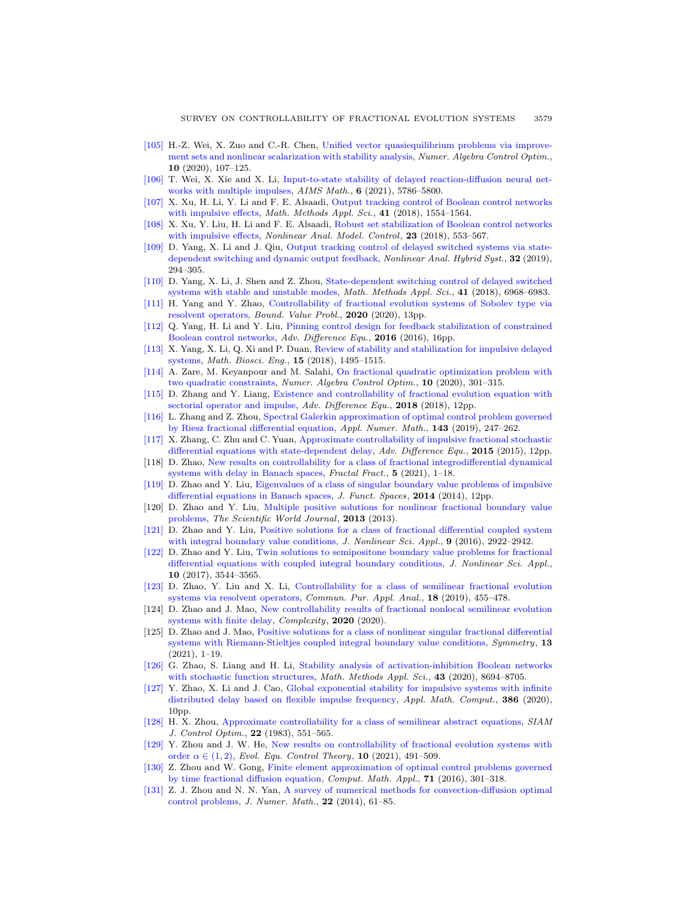- <span id="page-28-11"></span>[\[105\]](http://www.ams.org/mathscinet-getitem?mr=MR4155111&return=pdf) H.-Z. Wei, X. Zuo and C.-R. Chen, [Unified vector quasiequilibrium problems via improve](http://dx.doi.org/10.3934/naco.2019036)[ment sets and nonlinear scalarization with stability analysis,](http://dx.doi.org/10.3934/naco.2019036) Numer. Algebra Control Optim., 10 (2020), 107–125.
- <span id="page-28-10"></span>[\[106\]](http://www.ams.org/mathscinet-getitem?mr=MR4236762&return=pdf) T. Wei, X. Xie and X. Li, [Input-to-state stability of delayed reaction-diffusion neural net](http://dx.doi.org/10.3934/math.2021342)[works with multiple impulses,](http://dx.doi.org/10.3934/math.2021342)  $AIMS$  Math.,  $6$  (2021), 5786–5800.
- <span id="page-28-21"></span>[\[107\]](http://www.ams.org/mathscinet-getitem?mr=MR3767251&return=pdf) X. Xu, H. Li, Y. Li and F. E. Alsaadi, [Output tracking control of Boolean control networks](http://dx.doi.org/10.1002/mma.4685) [with impulsive effects,](http://dx.doi.org/10.1002/mma.4685) Math. Methods Appl. Sci., 41 (2018), 1554-1564.
- <span id="page-28-22"></span>[\[108\]](http://www.ams.org/mathscinet-getitem?mr=MR3817378&return=pdf) X. Xu, Y. Liu, H. Li and F. E. Alsaadi, [Robust set stabilization of Boolean control networks](http://dx.doi.org/10.15388/NA.2018.4.6) [with impulsive effects,](http://dx.doi.org/10.15388/NA.2018.4.6) Nonlinear Anal. Model. Control, 23 (2018), 553-567.
- <span id="page-28-8"></span>[\[109\]](http://www.ams.org/mathscinet-getitem?mr=MR3902794&return=pdf) D. Yang, X. Li and J. Qiu, [Output tracking control of delayed switched systems via state](http://dx.doi.org/10.1016/j.nahs.2019.01.006)[dependent switching and dynamic output feedback,](http://dx.doi.org/10.1016/j.nahs.2019.01.006) Nonlinear Anal. Hybrid Syst., 32 (2019), 294–305.
- <span id="page-28-9"></span>[\[110\]](http://www.ams.org/mathscinet-getitem?mr=MR3879286&return=pdf) D. Yang, X. Li, J. Shen and Z. Zhou, [State-dependent switching control of delayed switched](http://dx.doi.org/10.1002/mma.5209) [systems with stable and unstable modes,](http://dx.doi.org/10.1002/mma.5209) Math. Methods Appl. Sci., 41 (2018), 6968–6983.
- <span id="page-28-26"></span>[\[111\]](http://www.ams.org/mathscinet-getitem?mr=MR4120020&return=pdf) H. Yang and Y. Zhao, [Controllability of fractional evolution systems of Sobolev type via](http://dx.doi.org/10.1186/s13661-020-01417-1) [resolvent operators,](http://dx.doi.org/10.1186/s13661-020-01417-1) Bound. Value Probl., 2020 (2020), 13pp.
- <span id="page-28-14"></span>[\[112\]](http://www.ams.org/mathscinet-getitem?mr=MR3520240&return=pdf) Q. Yang, H. Li and Y. Liu, [Pinning control design for feedback stabilization of constrained](http://dx.doi.org/10.1186/s13662-016-0909-0) [Boolean control networks,](http://dx.doi.org/10.1186/s13662-016-0909-0) Adv. Difference Equ., 2016 (2016), 16pp.
- <span id="page-28-15"></span>[\[113\]](http://www.ams.org/mathscinet-getitem?mr=MR3918298&return=pdf) X. Yang, X. Li, Q. Xi and P. Duan, [Review of stability and stabilization for impulsive delayed](http://dx.doi.org/10.3934/mbe.2018069) [systems,](http://dx.doi.org/10.3934/mbe.2018069) Math. Biosci. Eng., 15 (2018), 1495–1515.
- <span id="page-28-3"></span>[\[114\]](http://www.ams.org/mathscinet-getitem?mr=MR4128847&return=pdf) A. Zare, M. Keyanpour and M. Salahi, [On fractional quadratic optimization problem with](http://dx.doi.org/10.3934/naco.2020003) [two quadratic constraints,](http://dx.doi.org/10.3934/naco.2020003) Numer. Algebra Control Optim., 10 (2020), 301–315.
- <span id="page-28-25"></span>[\[115\]](http://www.ams.org/mathscinet-getitem?mr=MR3817190&return=pdf) D. Zhang and Y. Liang, [Existence and controllability of fractional evolution equation with](http://dx.doi.org/10.1186/s13662-018-1664-1) [sectorial operator and impulse,](http://dx.doi.org/10.1186/s13662-018-1664-1) Adv. Difference Equ., 2018 (2018), 12pp.
- <span id="page-28-6"></span>[\[116\]](http://www.ams.org/mathscinet-getitem?mr=MR3958360&return=pdf) L. Zhang and Z. Zhou, [Spectral Galerkin approximation of optimal control problem governed](http://dx.doi.org/10.1016/j.apnum.2019.04.003) [by Riesz fractional differential equation,](http://dx.doi.org/10.1016/j.apnum.2019.04.003) Appl. Numer. Math., 143 (2019), 247–262.
- <span id="page-28-17"></span>[\[117\]](http://www.ams.org/mathscinet-getitem?mr=MR3323718&return=pdf) X. Zhang, C. Zhu and C. Yuan, [Approximate controllability of impulsive fractional stochastic](http://dx.doi.org/10.1186/s13662-015-0412-z) [differential equations with state-dependent delay,](http://dx.doi.org/10.1186/s13662-015-0412-z) Adv. Difference Equ., 2015 (2015), 12pp.
- <span id="page-28-20"></span>[118] D. Zhao, [New results on controllability for a class of fractional integrodifferential dynamical](http://dx.doi.org/10.3390/fractalfract5030089) [systems with delay in Banach spaces,](http://dx.doi.org/10.3390/fractalfract5030089) Fractal Fract.,  $5$  (2021), 1–18.
- <span id="page-28-23"></span>[\[119\]](http://www.ams.org/mathscinet-getitem?mr=MR3176842&return=pdf) D. Zhao and Y. Liu, [Eigenvalues of a class of singular boundary value problems of impulsive](http://dx.doi.org/10.1155/2014/720494) [differential equations in Banach spaces,](http://dx.doi.org/10.1155/2014/720494) J. Funct. Spaces, 2014 (2014), 12pp.
- <span id="page-28-0"></span>[120] D. Zhao and Y. Liu, [Multiple positive solutions for nonlinear fractional boundary value](http://dx.doi.org/10.1155/2013/473828) [problems,](http://dx.doi.org/10.1155/2013/473828) The Scientific World Journal, 2013 (2013).
- <span id="page-28-1"></span>[\[121\]](http://www.ams.org/mathscinet-getitem?mr=MR3491158&return=pdf) D. Zhao and Y. Liu, [Positive solutions for a class of fractional differential coupled system](http://dx.doi.org/10.22436/jnsa.009.05.86) [with integral boundary value conditions,](http://dx.doi.org/10.22436/jnsa.009.05.86) J. Nonlinear Sci. Appl., 9 (2016), 2922-2942.
- <span id="page-28-2"></span>[\[122\]](http://www.ams.org/mathscinet-getitem?mr=MR3680298&return=pdf) D. Zhao and Y. Liu, [Twin solutions to semipositone boundary value problems for fractional](http://dx.doi.org/10.22436/jnsa.010.07.16) [differential equations with coupled integral boundary conditions,](http://dx.doi.org/10.22436/jnsa.010.07.16) J. Nonlinear Sci. Appl., 10 (2017), 3544–3565.
- <span id="page-28-18"></span>[\[123\]](http://www.ams.org/mathscinet-getitem?mr=MR3845574&return=pdf) D. Zhao, Y. Liu and X. Li, [Controllability for a class of semilinear fractional evolution](http://dx.doi.org/10.3934/cpaa.2019023) [systems via resolvent operators,](http://dx.doi.org/10.3934/cpaa.2019023) *Commun. Pur. Appl. Anal.*, **18** (2019), 455–478.
- <span id="page-28-19"></span>[124] D. Zhao and J. Mao, [New controllability results of fractional nonlocal semilinear evolution](http://dx.doi.org/10.1155/2020/7652648) [systems with finite delay,](http://dx.doi.org/10.1155/2020/7652648) Complexity, 2020 (2020).
- <span id="page-28-5"></span>[125] D. Zhao and J. Mao, [Positive solutions for a class of nonlinear singular fractional differential](http://dx.doi.org/10.3390/sym13010107) [systems with Riemann-Stieltjes coupled integral boundary value conditions,](http://dx.doi.org/10.3390/sym13010107) Symmetry, 13 (2021), 1–19.
- <span id="page-28-12"></span>[\[126\]](http://www.ams.org/mathscinet-getitem?mr=MR4151369&return=pdf) G. Zhao, S. Liang and H. Li, [Stability analysis of activation-inhibition Boolean networks](http://dx.doi.org/10.1002/mma.6529) [with stochastic function structures,](http://dx.doi.org/10.1002/mma.6529) Math. Methods Appl. Sci.,  $43$  (2020), 8694–8705.
- <span id="page-28-13"></span>[\[127\]](http://www.ams.org/mathscinet-getitem?mr=MR4117313&return=pdf) Y. Zhao, X. Li and J. Cao, [Global exponential stability for impulsive systems with infinite](http://dx.doi.org/10.1016/j.amc.2020.125467) [distributed delay based on flexible impulse frequency,](http://dx.doi.org/10.1016/j.amc.2020.125467) Appl. Math. Comput., 386 (2020), 10pp.
- <span id="page-28-24"></span>[\[128\]](http://www.ams.org/mathscinet-getitem?mr=MR704474&return=pdf) H. X. Zhou, [Approximate controllability for a class of semilinear abstract equations,](http://dx.doi.org/10.1137/0321033) SIAM J. Control Optim., 22 (1983), 551–565.
- <span id="page-28-16"></span>[\[129\]](http://www.ams.org/mathscinet-getitem?mr=MR4271212&return=pdf) Y. Zhou and J. W. He, [New results on controllability of fractional evolution systems with](http://dx.doi.org/10.3934/eect.2020077) [order](http://dx.doi.org/10.3934/eect.2020077)  $\alpha \in (1, 2)$ , Evol. Equ. Control Theory, 10 (2021), 491–509.
- <span id="page-28-4"></span>[\[130\]](http://www.ams.org/mathscinet-getitem?mr=MR3441196&return=pdf) Z. Zhou and W. Gong, [Finite element approximation of optimal control problems governed](http://dx.doi.org/10.1016/j.camwa.2015.11.014) [by time fractional diffusion equation,](http://dx.doi.org/10.1016/j.camwa.2015.11.014) Comput. Math. Appl., 71 (2016), 301–318.
- <span id="page-28-7"></span>[\[131\]](http://www.ams.org/mathscinet-getitem?mr=MR3246619&return=pdf) Z. J. Zhou and N. N. Yan, [A survey of numerical methods for convection-diffusion optimal](http://dx.doi.org/10.1515/jnum-2014-0003) [control problems,](http://dx.doi.org/10.1515/jnum-2014-0003) J. Numer. Math., 22 (2014), 61–85.